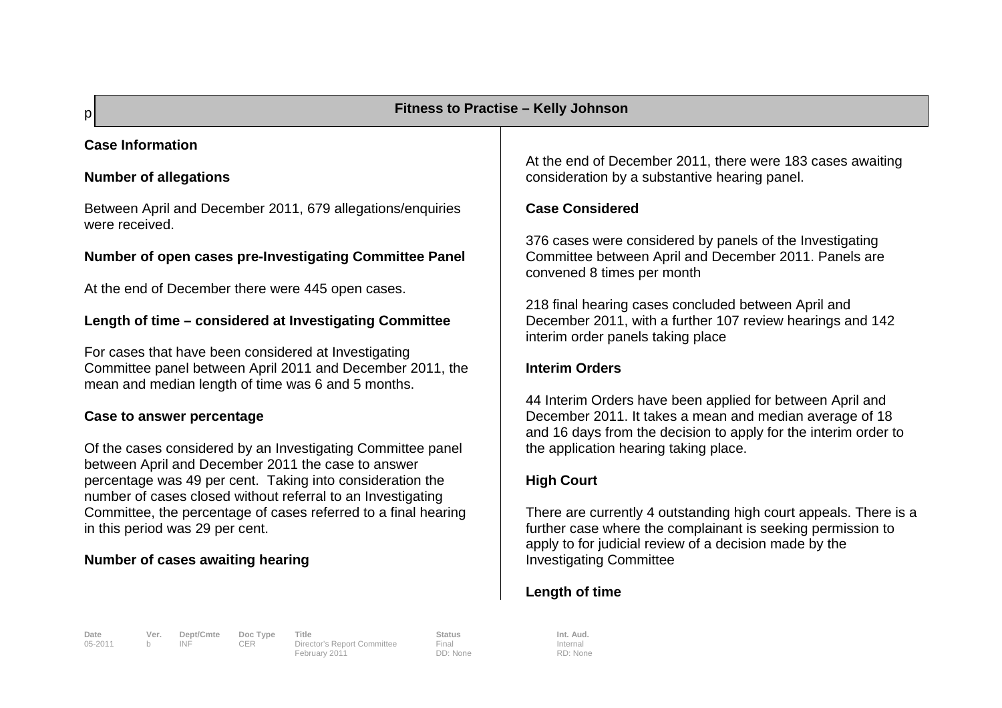| p                                                                                                                                                                       | Fitness to Practise - Kelly Johnson                                                                                                                                                     |
|-------------------------------------------------------------------------------------------------------------------------------------------------------------------------|-----------------------------------------------------------------------------------------------------------------------------------------------------------------------------------------|
| <b>Case Information</b>                                                                                                                                                 |                                                                                                                                                                                         |
| <b>Number of allegations</b>                                                                                                                                            | At the end of December 2011, there were 183 cases awaiting<br>consideration by a substantive hearing panel.                                                                             |
| Between April and December 2011, 679 allegations/enquiries<br>were received.                                                                                            | <b>Case Considered</b>                                                                                                                                                                  |
| Number of open cases pre-Investigating Committee Panel                                                                                                                  | 376 cases were considered by panels of the Investigating<br>Committee between April and December 2011. Panels are<br>convened 8 times per month                                         |
| At the end of December there were 445 open cases.                                                                                                                       |                                                                                                                                                                                         |
| Length of time – considered at Investigating Committee                                                                                                                  | 218 final hearing cases concluded between April and<br>December 2011, with a further 107 review hearings and 142<br>interim order panels taking place                                   |
| For cases that have been considered at Investigating<br>Committee panel between April 2011 and December 2011, the<br>mean and median length of time was 6 and 5 months. | <b>Interim Orders</b>                                                                                                                                                                   |
| Case to answer percentage                                                                                                                                               | 44 Interim Orders have been applied for between April and<br>December 2011. It takes a mean and median average of 18<br>and 16 days from the decision to apply for the interim order to |
| Of the cases considered by an Investigating Committee panel<br>between April and December 2011 the case to answer                                                       | the application hearing taking place.                                                                                                                                                   |
| percentage was 49 per cent. Taking into consideration the<br>number of cases closed without referral to an Investigating                                                | <b>High Court</b>                                                                                                                                                                       |
| Committee, the percentage of cases referred to a final hearing<br>in this period was 29 per cent.                                                                       | There are currently 4 outstanding high court appeals. There is a<br>further case where the complainant is seeking permission to                                                         |
| Number of cases awaiting hearing                                                                                                                                        | apply to for judicial review of a decision made by the<br><b>Investigating Committee</b>                                                                                                |
|                                                                                                                                                                         | Length of time                                                                                                                                                                          |
|                                                                                                                                                                         |                                                                                                                                                                                         |

Final DD: None Internal RD: None

**Date Ver. Dept/Cmte Doc Type Title Status Int. Aud.** 05-2011 b INF CER Director's Report Committee Title<br>Director's Report Committee<br>February 2011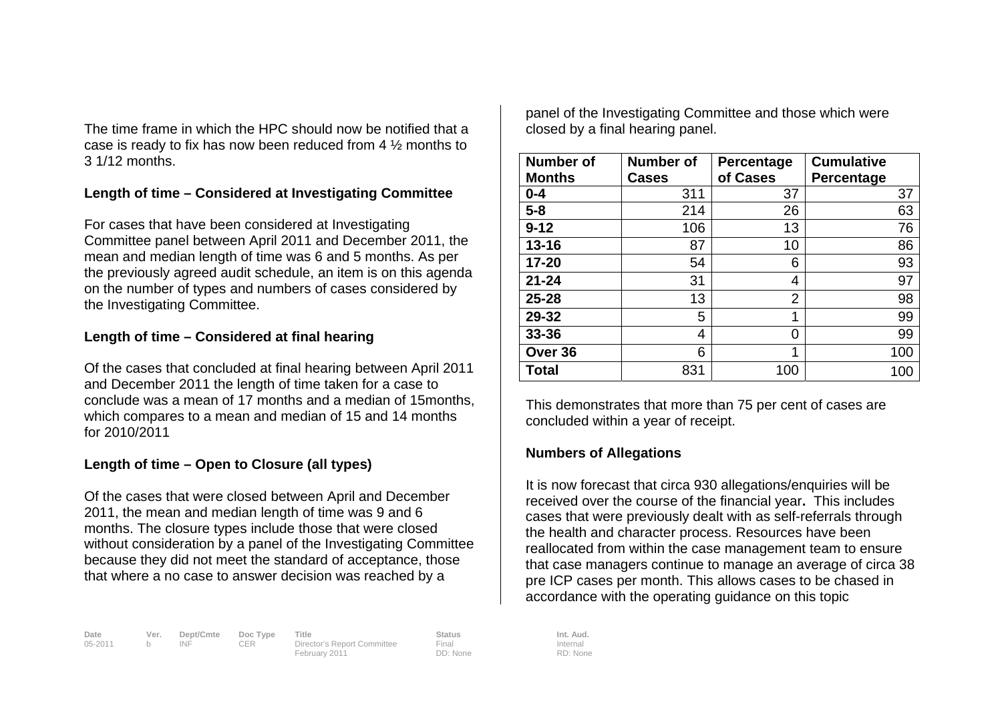The time frame in which the HPC should now be notified that a case is ready to fix has now been reduced from 4 ½ months to 3 1/12 months.

# **Length of time – Considered at Investigating Committee**

For cases that have been considered at Investigating Committee panel between April 2011 and December 2011, the mean and median length of time was 6 and 5 months. As per the previously agreed audit schedule, an item is on this agenda on the number of types and numbers of cases considered by the Investigating Committee.

# **Length of time – Considered at final hearing**

Of the cases that concluded at final hearing between April 2011 and December 2011 the length of time taken for a case to conclude was a mean of 17 months and a median of 15months, which compares to a mean and median of 15 and 14 months for 2010/2011

# **Length of time – Open to Closure (all types)**

Of the cases that were closed between April and December 2011, the mean and median length of time was 9 and 6 months. The closure types include those that were closed without consideration by a panel of the Investigating Committee because they did not meet the standard of acceptance, those that where a no case to answer decision was reached by a

panel of the Investigating Committee and those which were closed by a final hearing panel.

| <b>Number of</b><br><b>Months</b> | <b>Number of</b><br><b>Cases</b> | Percentage<br>of Cases | <b>Cumulative</b><br>Percentage |
|-----------------------------------|----------------------------------|------------------------|---------------------------------|
| $0 - 4$                           | 311                              | 37                     | 37                              |
| $5 - 8$                           | 214                              | 26                     | 63                              |
| $9 - 12$                          | 106                              | 13                     | 76                              |
| $13 - 16$                         | 87                               | 10                     | 86                              |
| 17-20                             | 54                               | 6                      | 93                              |
| $21 - 24$                         | 31                               | 4                      | 97                              |
| 25-28                             | 13                               | $\overline{2}$         | 98                              |
| 29-32                             | 5                                | 1                      | 99                              |
| 33-36                             | 4                                | 0                      | 99                              |
| Over 36                           | 6                                | 1                      | 100                             |
| <b>Total</b>                      | 831                              | 100                    | 100                             |

This demonstrates that more than 75 per cent of cases are concluded within a year of receipt.

# **Numbers of Allegations**

It is now forecast that circa 930 allegations/enquiries will be received over the course of the financial year**.** This includes cases that were previously dealt with as self-referrals through the health and character process. Resources have been reallocated from within the case management team to ensure that case managers continue to manage an average of circa 38 pre ICP cases per month. This allows cases to be chased in accordance with the operating guidance on this topic

**Date Ver. Dept/Cmte Doc Type Title**<br>
05-2011 b INF CER Director's Report Committee Final **Final** Internal 05-2011 b INF CER Director's Report Committee February 2011

Final DD: None

Internal RD: None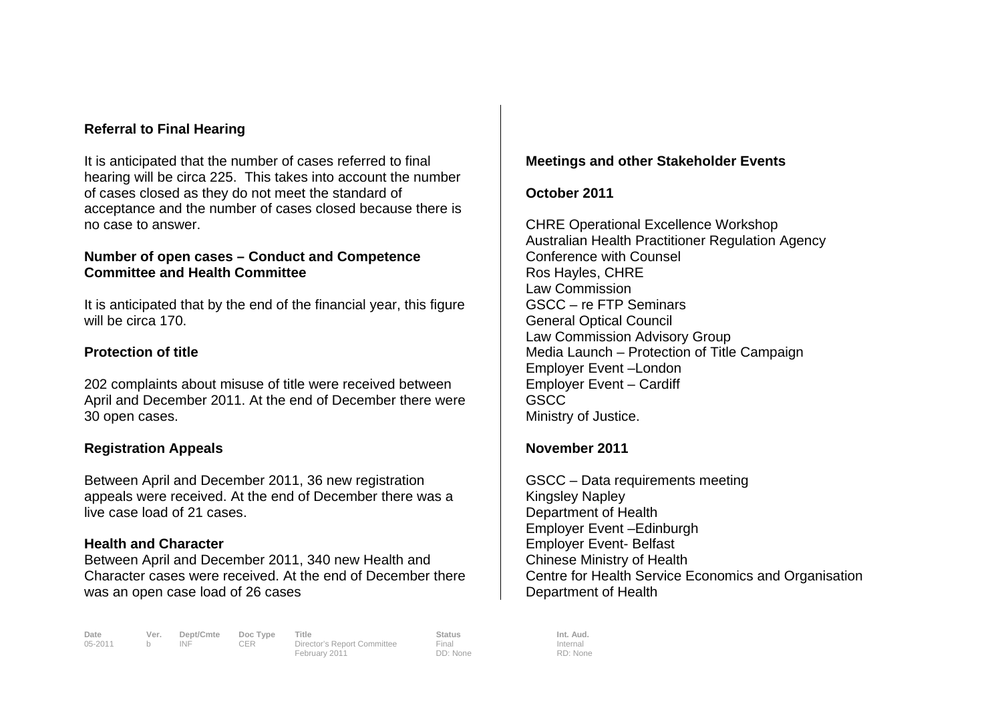# **Referral to Final Hearing**

It is anticipated that the number of cases referred to final hearing will be circa 225. This takes into account the number of cases closed as they do not meet the standard of acceptance and the number of cases closed because there is no case to answer.

# **Number of open cases – Conduct and Competence Committee and Health Committee**

It is anticipated that by the end of the financial year, this figure will be circa 170.

# **Protection of title**

202 complaints about misuse of title were received between April and December 2011. At the end of December there were 30 open cases.

# **Registration Appeals**

Between April and December 2011, 36 new registration appeals were received. At the end of December there was a live case load of 21 cases.

# **Health and Character**

Between April and December 2011, 340 new Health and Character cases were received. At the end of December there was an open case load of 26 cases

# **Meetings and other Stakeholder Events**

# **October 2011**

CHRE Operational Excellence Workshop Australian Health Practitioner Regulation Agency Conference with Counsel Ros Hayles, CHRE Law Commission GSCC – re FTP Seminars General Optical Council Law Commission Advisory Group Media Launch – Protection of Title Campaign Employer Event –London Employer Event – Cardiff GSCC Ministry of Justice.

# **November 2011**

GSCC – Data requirements meeting Kingsley Napley Department of Health Employer Event –Edinburgh Employer Event- Belfast Chinese Ministry of Health Centre for Health Service Economics and Organisation Department of Health

**Date Ver. Dept/Cmte Doc Type Title**<br>
05-2011 b INF CER Director's Report Committee Final **Final** Internal  $05-2011$  b INF

February 2011

Final DD: None Internal RD: None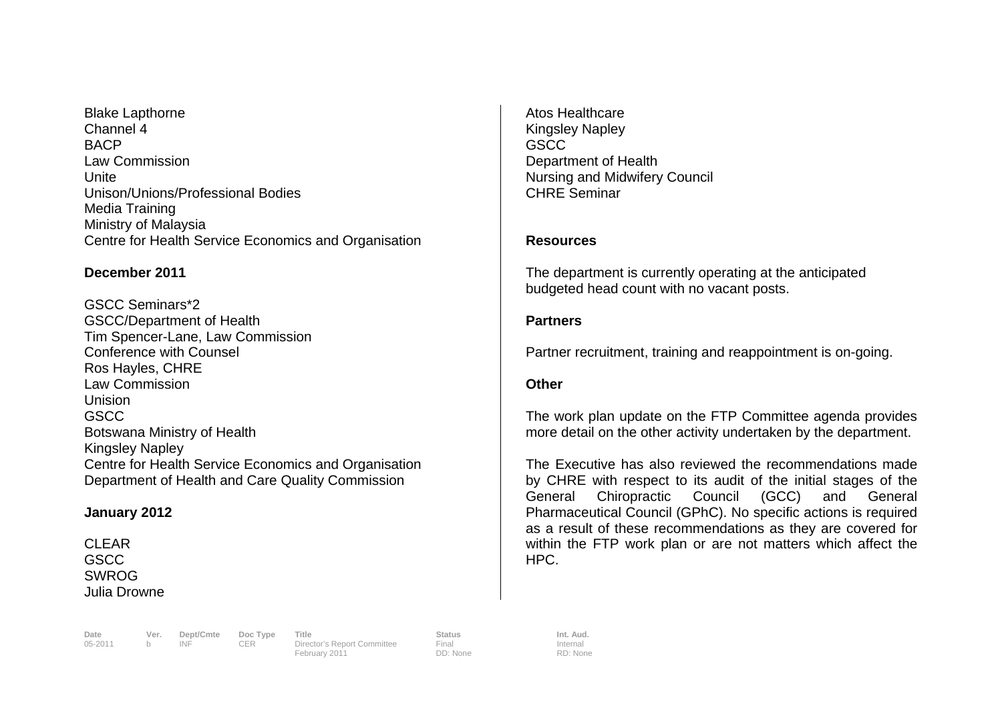Blake Lapthorne Channel 4 **BACP** Law Commission Unite Unison/Unions/Professional Bodies Media Training Ministry of Malaysia Centre for Health Service Economics and Organisation

# **December 2011**

GSCC Seminars\*2 GSCC/Department of Health Tim Spencer-Lane, Law Commission Conference with Counsel Ros Hayles, CHRE Law Commission Unision GSCC Botswana Ministry of Health Kingsley Napley Centre for Health Service Economics and Organisation Department of Health and Care Quality Commission

# **January 2012**

# CLEAR GSCC SWROG Julia Drowne

 $05-2011$  b INF

**Date Ver. Dept/Cmte Doc Type Title**<br>
05-2011 b INF CER Director's Report Committee Final **Final** Internal February 2011

Final DD: None Internal RD: None

Atos Healthcare Kingsley Napley **GSCC** Department of Health Nursing and Midwifery Council CHRE Seminar

# **Resources**

The department is currently operating at the anticipated budgeted head count with no vacant posts.

# **Partners**

Partner recruitment, training and reappointment is on-going.

# **Other**

The work plan update on the FTP Committee agenda provides more detail on the other activity undertaken by the department.

The Executive has also reviewed the recommendations made by CHRE with respect to its audit of the initial stages of the General Chiropractic Council (GCC) and General Pharmaceutical Council (GPhC). No specific actions is required as a result of these recommendations as they are covered for within the FTP work plan or are not matters which affect the HPC.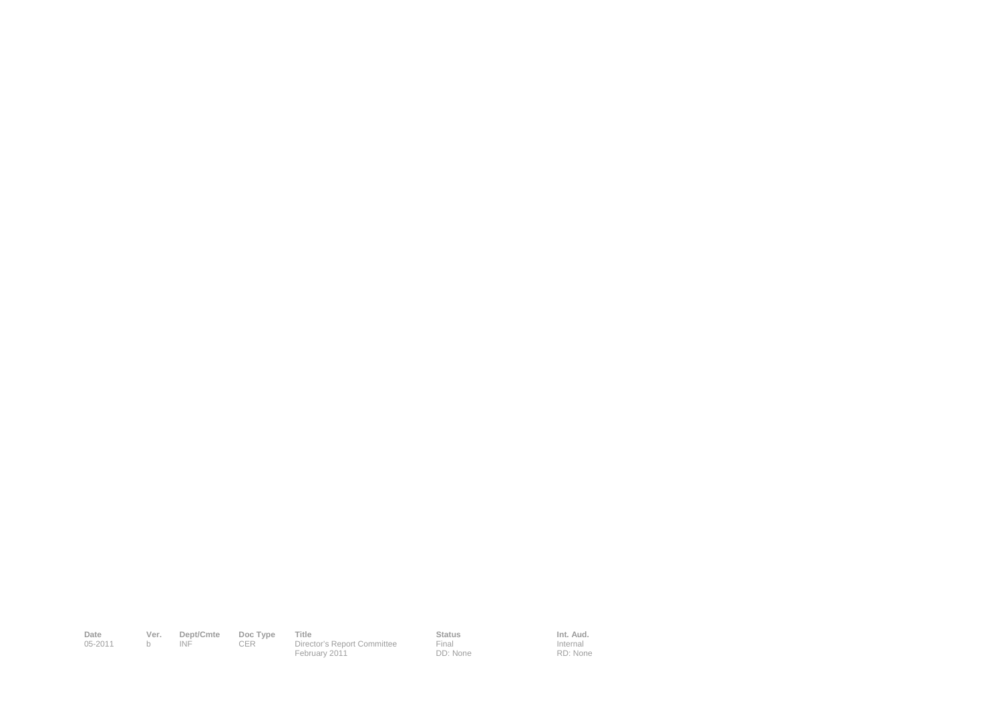**Date Ver. Dept/Cmte Doc Type Title Status Int. Aud.** 05-2011 b INF CER Director's Report Committee Title<br>Director's Report Committee<br>February 2011

Final DD: None Internal RD: None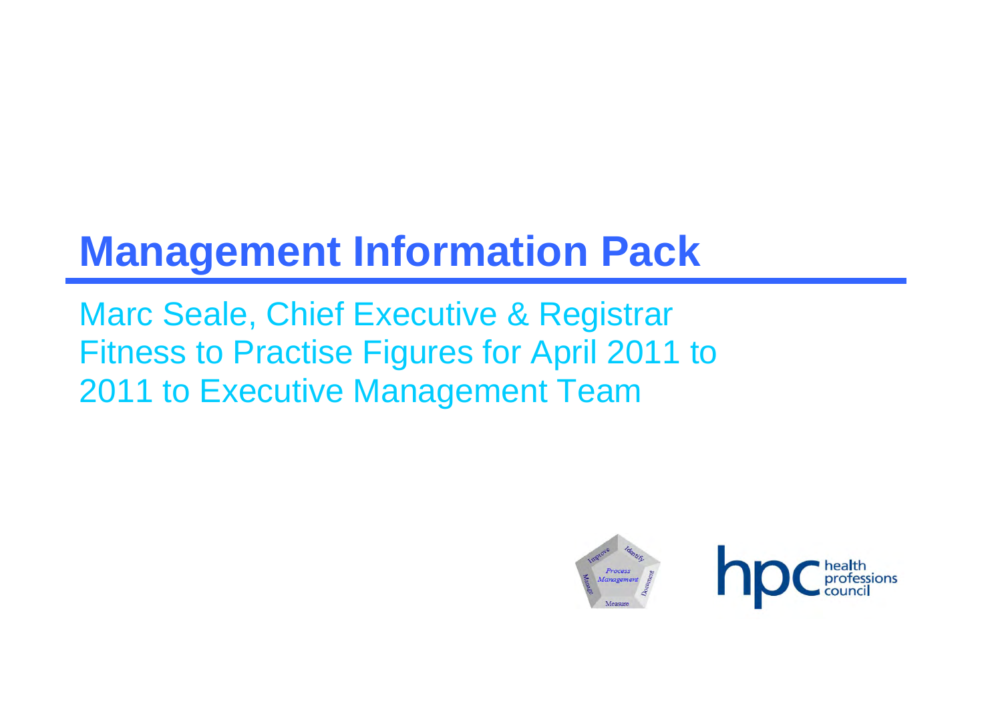# **Management Information Pack**

Marc Seale, Chief Executive & Registrar Fitness to Practise Figures for April 2011 to 2011 to Executive Management Team

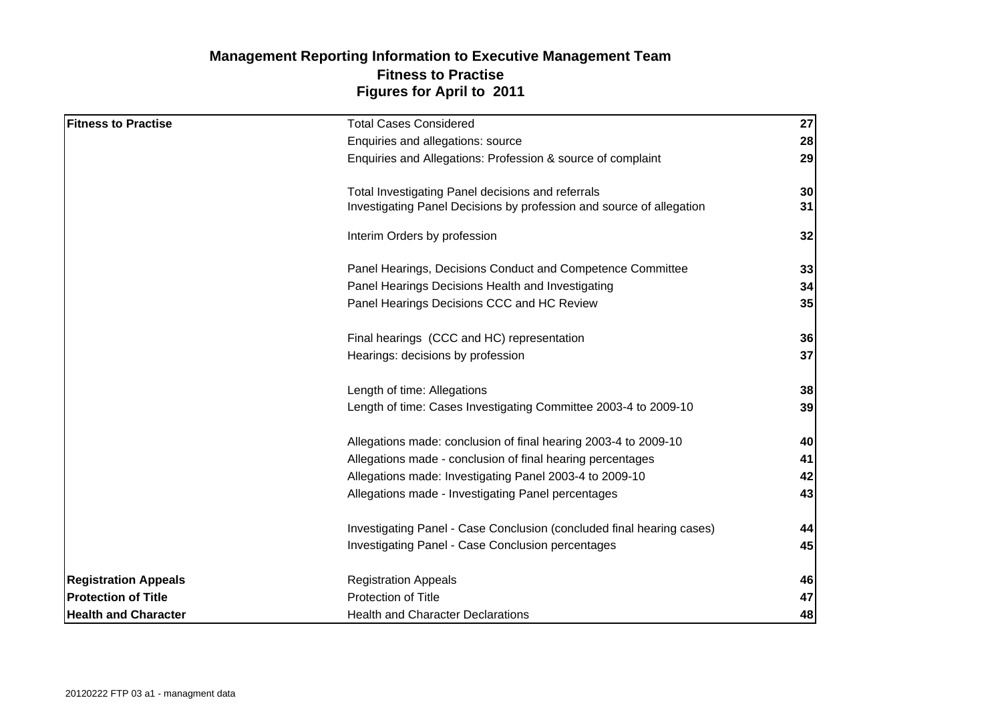# **Figures for April to 2011 Management Reporting Information to Executive Management Team Fitness to Practise**

| <b>Fitness to Practise</b>  | <b>Total Cases Considered</b>                                         | 27 |
|-----------------------------|-----------------------------------------------------------------------|----|
|                             | Enquiries and allegations: source                                     | 28 |
|                             | Enquiries and Allegations: Profession & source of complaint           | 29 |
|                             | Total Investigating Panel decisions and referrals                     | 30 |
|                             | Investigating Panel Decisions by profession and source of allegation  | 31 |
|                             | Interim Orders by profession                                          | 32 |
|                             | Panel Hearings, Decisions Conduct and Competence Committee            | 33 |
|                             | Panel Hearings Decisions Health and Investigating                     | 34 |
|                             | Panel Hearings Decisions CCC and HC Review                            | 35 |
|                             | Final hearings (CCC and HC) representation                            | 36 |
|                             | Hearings: decisions by profession                                     | 37 |
|                             | Length of time: Allegations                                           | 38 |
|                             | Length of time: Cases Investigating Committee 2003-4 to 2009-10       | 39 |
|                             | Allegations made: conclusion of final hearing 2003-4 to 2009-10       | 40 |
|                             | Allegations made - conclusion of final hearing percentages            | 41 |
|                             | Allegations made: Investigating Panel 2003-4 to 2009-10               | 42 |
|                             | Allegations made - Investigating Panel percentages                    | 43 |
|                             | Investigating Panel - Case Conclusion (concluded final hearing cases) | 44 |
|                             | <b>Investigating Panel - Case Conclusion percentages</b>              | 45 |
| <b>Registration Appeals</b> | <b>Registration Appeals</b>                                           | 46 |
| <b>Protection of Title</b>  | Protection of Title                                                   | 47 |
| <b>Health and Character</b> | <b>Health and Character Declarations</b>                              | 48 |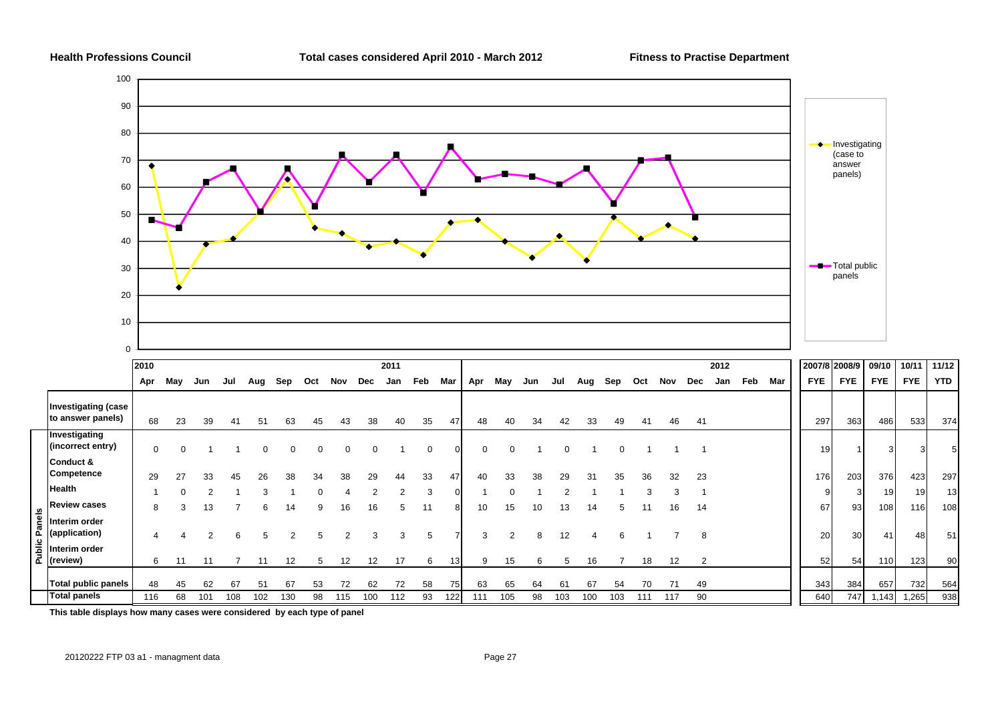

**Total cases considered April 2010 - March 2012 Fitness to Practise Department**



**This table displays how many cases were considered by each type of panel**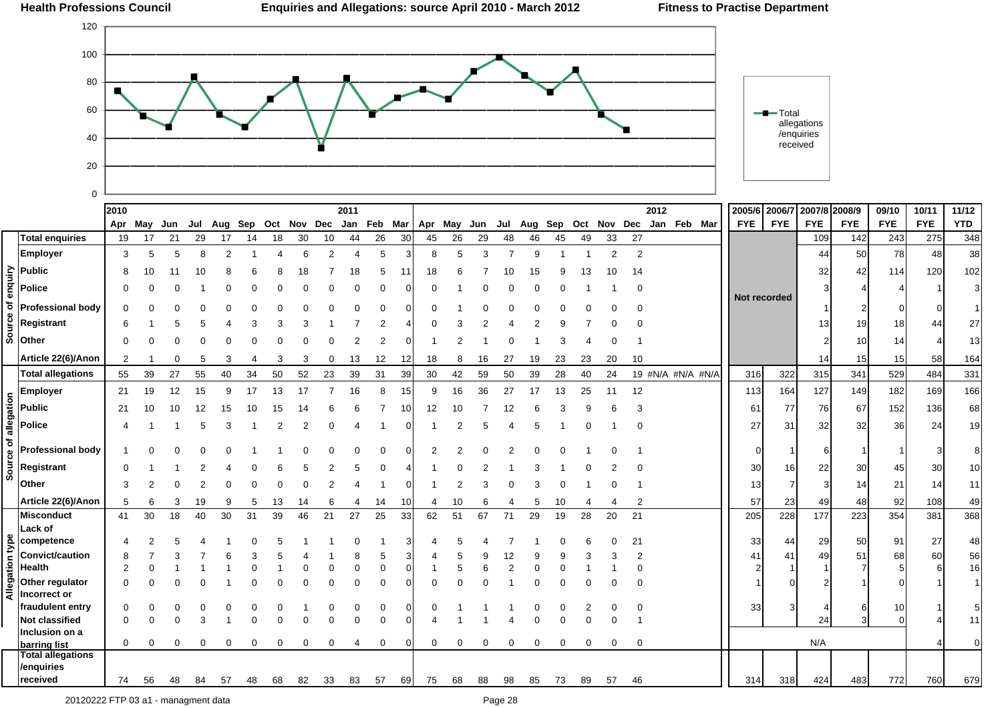

|                      | 0                                         |                      |         |     |     |             |    |         |         |                |          |               |               |                                                                     |         |          |                |          |             |          |          |                |             |                   |              |            |               |            |            |            |            |
|----------------------|-------------------------------------------|----------------------|---------|-----|-----|-------------|----|---------|---------|----------------|----------|---------------|---------------|---------------------------------------------------------------------|---------|----------|----------------|----------|-------------|----------|----------|----------------|-------------|-------------------|--------------|------------|---------------|------------|------------|------------|------------|
|                      |                                           | 2010                 |         |     |     |             |    |         |         |                | 2011     |               |               |                                                                     |         |          |                |          |             |          |          | 2012           |             |                   | 2005/6       | 2006/7     | 2007/8 2008/9 |            | 09/10      | 10/11      | 11/12      |
|                      |                                           |                      | Apr May | Jun | Jul |             |    |         |         |                |          |               |               | Aug Sep Oct Nov Dec Jan Feb Mar Apr May Jun Jul Aug Sep Oct Nov Dec |         |          |                |          |             |          |          |                | Jan Feb Mar |                   | <b>FYE</b>   | <b>FYE</b> | <b>FYE</b>    | <b>FYE</b> | <b>FYE</b> | <b>FYE</b> | <b>YTD</b> |
|                      | <b>Total enquiries</b>                    | 19                   | 17      | 21  | 29  | 17          | 14 | 18      | 30      | 10             | 44       | 26            | 30            | 45                                                                  | 26      | 29       | 48             | 46       | 45          | 49       | 33       | 27             |             |                   |              |            | 109           | 142        | 243        | 275        | 348        |
|                      | Employer                                  | 3                    | 5       | 5   |     |             |    |         |         | $\overline{2}$ |          | 5             | 3             | 8                                                                   | 5       | 3        | $\overline{7}$ | 9        |             |          | 2        | $\overline{2}$ |             |                   |              |            | 44            | 50         | 78         | 48         | 38         |
|                      | <b>Public</b>                             | 8                    |         |     |     |             |    |         |         |                | 18       | 5             |               | 18                                                                  | 6       |          |                | 15       |             | 13       | 10       | -14            |             |                   |              |            | 32            | 42         | 114        | 120        | 102        |
|                      | <b>Police</b>                             | 0                    |         |     |     |             |    |         |         |                |          | $\Omega$      | $\Omega$      | 0                                                                   |         | 0        | 0              | 0        |             |          |          |                |             |                   |              |            | 3             |            |            |            |            |
| Source of enquiry    | <b>Professional body</b>                  | 0                    |         |     |     |             |    |         |         |                |          |               |               |                                                                     |         |          |                |          |             |          |          |                |             |                   | Not recorded |            |               |            |            |            |            |
|                      | <b>Registrant</b>                         |                      |         |     |     |             |    |         |         |                |          |               |               |                                                                     |         |          |                |          |             |          |          |                |             |                   |              |            | 13            | 19         | 18         | 44         | 27         |
|                      | Other                                     |                      |         |     |     |             |    |         |         |                |          |               |               |                                                                     |         |          |                |          |             |          |          |                |             |                   |              |            | 2             | 10         | 14         |            | 13         |
|                      | Article 22(6)/Anon                        |                      |         |     |     |             |    |         |         |                |          |               |               |                                                                     |         |          |                |          |             |          |          |                |             |                   |              |            |               |            |            |            |            |
|                      | <b>Total allegations</b>                  | $\overline{2}$<br>55 | 39      | 27  | 55  | 40          | 34 | 3<br>50 | 3<br>52 | 23             | 13<br>39 | 12<br>31      | 12<br>39      | 18<br>30                                                            | 8<br>42 | 16<br>59 | 27<br>50       | 19<br>39 | 23<br>28    | 23<br>40 | 20<br>24 | 10             |             | 19 #N/A #N/A #N/A | 316          | 322        | 14<br>315     | 15<br>341  | 15<br>529  | 58<br>484  | 164<br>331 |
|                      |                                           |                      |         |     |     |             |    |         |         |                |          |               |               |                                                                     |         |          |                |          |             |          |          |                |             |                   |              |            |               |            |            |            |            |
|                      | <b>Employer</b>                           | 21                   | 19      | 12  | 15  |             | 17 | 13      | 17      |                | 16       | 8             | 15            | 9                                                                   | 16      | 36       | 27             | 17       | 13          | 25       | 11       | 12             |             |                   | 113          | 164        | 127           | 149        | 182        | 169        | 166        |
|                      | <b>Public</b>                             | 21                   | 10      | 10  | 12  | 15          | 10 | 15      |         |                | 6        | 7             | 10            | 12                                                                  | 10      |          | 12             | 6        |             |          |          |                |             |                   | 61           | 77         | 76            | 67         | 152        | 136        | 68         |
|                      | <b>Police</b>                             |                      |         |     |     |             |    |         |         |                |          |               |               |                                                                     |         |          |                |          |             |          |          |                |             |                   | 27           | 31         | 32            | 32         | 36         | 24         | 19         |
| Source of allegation | <b>Professional body</b>                  |                      |         |     |     |             |    |         |         |                |          | 0             |               |                                                                     |         |          |                |          |             |          |          |                |             |                   |              |            | 61            |            |            |            |            |
|                      | Registrant                                |                      |         |     |     |             |    |         |         |                |          |               |               |                                                                     |         |          |                |          |             |          |          |                |             |                   | 30           | 16         | 22            | 30         | 45         | 30         | 10         |
|                      | Other                                     | 3                    |         |     |     |             |    |         |         |                |          |               |               |                                                                     |         | 3        |                | 3        |             |          |          |                |             |                   | 13           |            | 3             | 14         | 21         | 14         | 11         |
|                      | Article 22(6)/Anon                        | 5                    | 6       | 3   | 19  |             | 5  | 13      | 14      | 6              | 4        | 14            | 10            | 4                                                                   | 10      | 6        | 4              | 5        | 10          |          |          | $\overline{2}$ |             |                   | 57           | 23         | 49            | 48         | 92         | 108        | 49         |
|                      | <b>Misconduct</b>                         | 41                   | 30      | 18  | 40  | 30          | 31 | 39      | 46      | 21             | 27       | 25            | 33            | 62                                                                  | 51      | 67       | 71             | 29       | 19          | 28       | 20       | 21             |             |                   | 205          | 228        | 177           | 223        | 354        | 381        | 368        |
|                      | Lack of                                   |                      |         |     |     |             |    |         |         |                |          |               |               |                                                                     |         |          |                |          |             |          |          |                |             |                   |              |            |               |            |            |            |            |
|                      | competence                                |                      |         |     |     |             |    |         |         |                |          |               |               |                                                                     | 5       |          |                |          |             |          |          | 21             |             |                   | 33           | 44         | 29            | 50         | 91         | 27         | 48         |
|                      | <b>Convict/caution</b>                    |                      |         |     |     |             |    |         |         |                |          |               |               |                                                                     | ა       | 9        | 12             | g        |             |          |          |                |             |                   | 41           | 41         | 49            | 51         | 68         | 60         | 56         |
|                      | Health                                    | 2                    |         |     |     |             |    |         |         |                |          | $\Omega$      | 0             |                                                                     | 5       | 6        | $\overline{2}$ | $\Omega$ | $\Omega$    |          |          | $\Omega$       |             |                   |              |            |               |            |            |            | 16         |
| Allegation type      | Other regulator                           | 0                    |         |     |     |             |    |         |         |                |          | $\Omega$      |               |                                                                     |         |          |                |          |             |          |          |                |             |                   |              |            |               |            |            |            |            |
|                      | Incorrect or                              |                      |         |     |     |             |    |         |         |                |          |               |               |                                                                     |         |          |                |          |             |          |          |                |             |                   |              |            |               |            |            |            |            |
|                      | fraudulent entry<br><b>Not classified</b> | 0                    | O       |     |     |             |    |         |         |                |          | 0<br>$\Omega$ | $\Omega$<br>∩ |                                                                     |         |          |                |          |             |          |          |                |             |                   | 33           |            | 24            | 6<br>3     | 10         |            |            |
|                      | Inclusion on a                            |                      |         |     |     |             |    |         |         |                |          |               |               |                                                                     |         |          |                |          |             |          |          |                |             |                   |              |            |               |            |            |            |            |
|                      | barring list                              | 0                    | 0       | 0   | 0   | $\mathbf 0$ | 0  | 0       | 0       | 0              | 4        | 0             | 0             | 0                                                                   | 0       | 0        | 0              | 0        | $\mathbf 0$ | 0        | 0        | $\mathbf 0$    |             |                   |              |            | N/A           |            |            |            |            |
|                      | <b>Total allegations</b>                  |                      |         |     |     |             |    |         |         |                |          |               |               |                                                                     |         |          |                |          |             |          |          |                |             |                   |              |            |               |            |            |            |            |
|                      | /enquiries                                |                      |         |     |     |             |    |         |         |                |          |               |               |                                                                     |         |          |                |          |             |          |          |                |             |                   |              |            |               |            |            |            |            |
|                      | received                                  | 74                   | 56      | 48  | 84  | 57          | 48 | 68      | 82      | 33             | 83       | 57            | 69            | 75                                                                  | 68      | 88       | 98             | 85       | 73          | 89       | 57       | 46             |             |                   | 314          | 318        | 424           | 483        | 772        | 760        | 679        |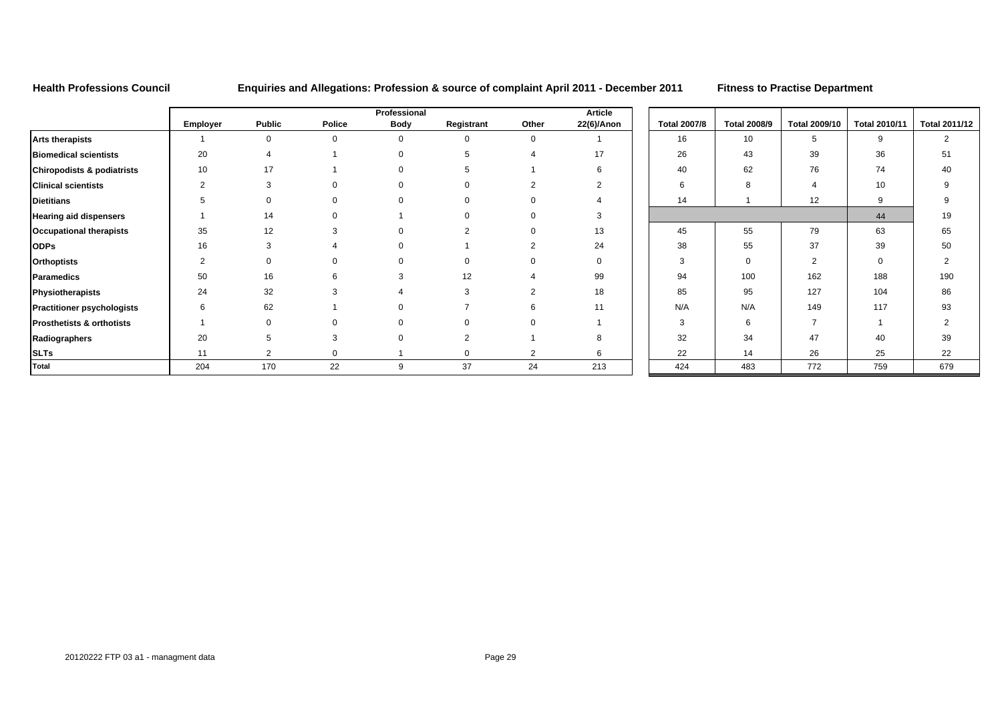**Enquiries and Allegations: Profession & source of complaint April 2011 - December 2011 Fitness to Practise Department**

|                                       |          |                |        | Professional |            |          | <b>Article</b> |                     |                     |                      |                      |                      |
|---------------------------------------|----------|----------------|--------|--------------|------------|----------|----------------|---------------------|---------------------|----------------------|----------------------|----------------------|
|                                       | Employer | Public         | Police | <b>Body</b>  | Registrant | Other    | 22(6)/Anon     | <b>Total 2007/8</b> | <b>Total 2008/9</b> | <b>Total 2009/10</b> | <b>Total 2010/11</b> | <b>Total 2011/12</b> |
| <b>Arts therapists</b>                |          |                |        |              |            | $\Omega$ |                | 16                  | 10                  | 5                    | 9                    | $\mathfrak{p}$       |
| <b>Biomedical scientists</b>          | 20       |                |        |              |            |          | 17             | 26                  | 43                  | 39                   | 36                   | 51                   |
| <b>Chiropodists &amp; podiatrists</b> | 10       | 17             |        |              |            |          | 6              | 40                  | 62                  | 76                   | 74                   | 40                   |
| <b>Clinical scientists</b>            | 2        | 3              |        |              | $\Omega$   |          |                | 6                   | 8                   | $\overline{4}$       | 10                   | 9                    |
| <b>Dietitians</b>                     |          |                |        |              | $\Omega$   |          |                | 14                  |                     | 12                   | 9                    | q                    |
| <b>Hearing aid dispensers</b>         |          | 14             |        |              |            |          | 3              |                     |                     |                      | 44                   | 19                   |
| <b>Occupational therapists</b>        | 35       | 12             |        |              |            | $\Omega$ | 13             | 45                  | 55                  | 79                   | 63                   | 65                   |
| <b>ODPs</b>                           | 16       | 3              |        |              |            |          | 24             | 38                  | 55                  | 37                   | 39                   | 50                   |
| <b>Orthoptists</b>                    |          |                |        |              |            |          | 0              |                     | $\mathbf 0$         | $\overline{2}$       | $\mathbf 0$          | $\Omega$             |
| Paramedics                            | 50       | 16             | 6      |              | 12         |          | 99             | 94                  | 100                 | 162                  | 188                  | 190                  |
| Physiotherapists                      | 24       | 32             |        |              |            |          | 18             | 85                  | 95                  | 127                  | 104                  | 86                   |
| <b>Practitioner psychologists</b>     | 6        | 62             |        |              |            |          | 11             | N/A                 | N/A                 | 149                  | 117                  | 93                   |
| Prosthetists & orthotists             |          |                |        |              |            |          |                | વ                   | 6                   | $\overline{ }$       |                      | C                    |
| Radiographers                         | 20       |                |        |              | $\Omega$   |          |                | 32                  | 34                  | 47                   | 40                   | 39                   |
| <b>SLTs</b>                           | 11       | $\overline{2}$ |        |              | $\Omega$   | $\sim$   | 6              | 22                  | 14                  | 26                   | 25                   | 22                   |
| Total                                 | 204      | 170            | 22     | 9            | 37         | 24       | 213            | 424                 | 483                 | 772                  | 759                  | 679                  |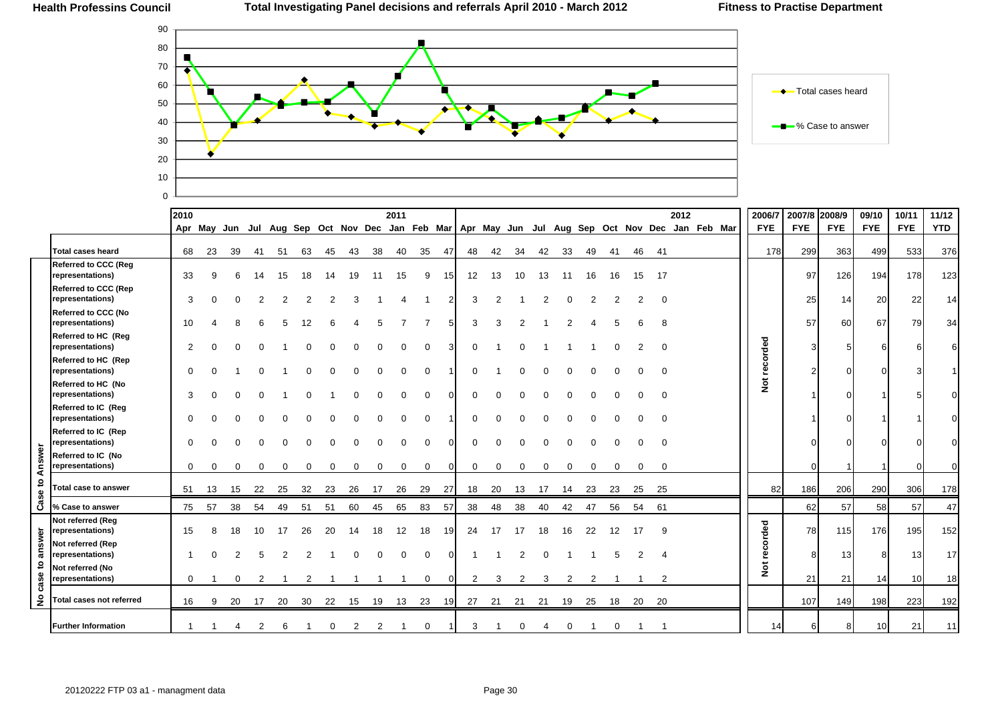

|           |                                                 | 2010         |     |    |    |     |    |    |    |    | 2011 |          |                |    |     |    |     |     |    |    |    |          | 2012 |                                                                                                   | 2006/7               | 2007/8     | 2008/9     | 09/10      | 10/11           | 11/12      |
|-----------|-------------------------------------------------|--------------|-----|----|----|-----|----|----|----|----|------|----------|----------------|----|-----|----|-----|-----|----|----|----|----------|------|---------------------------------------------------------------------------------------------------|----------------------|------------|------------|------------|-----------------|------------|
|           |                                                 |              |     |    |    |     |    |    |    |    |      |          |                |    |     |    |     |     |    |    |    |          |      | Apr May Jun Jul Aug Sep Oct Nov Dec Jan Feb Mar   Apr May Jun Jul Aug Sep Oct Nov Dec Jan Feb Mar | <b>FYE</b>           | <b>FYE</b> | <b>FYE</b> | <b>FYE</b> | <b>FYE</b>      | <b>YTD</b> |
|           | <b>Total cases heard</b>                        | 68           | 23  | 39 | 41 | 51  | 63 | 45 | 43 | 38 | 40   | 35       | 47             | 48 | 42  | 34 | 42  | 33  | 49 | 41 | 46 | -41      |      |                                                                                                   | 178                  | 299        | 363        | 499        | 533             | 376        |
|           | <b>Referred to CCC (Reg</b><br>representations) | 33           |     |    | 14 | 15  | 18 | 14 | 19 | 11 | 15   | 9        | 15             | 12 | 13  | 10 | 13  | -11 | 16 | 16 | 15 | 17       |      |                                                                                                   |                      | 97         | 126        | 194        | 178             | 123        |
|           | <b>Referred to CCC (Rep</b><br>representations) | 3            |     |    |    |     |    |    |    |    |      |          |                | 3  |     |    |     |     |    |    |    | 0        |      |                                                                                                   |                      | 25         | 14         | 20         | 22              | 14         |
|           | Referred to CCC (No<br>representations)         | 10           |     |    |    |     |    |    |    |    |      |          |                | 3  |     |    |     |     |    |    | 6  | 8        |      |                                                                                                   |                      | 57         | 60         | 67         | 79              | 34         |
|           | Referred to HC (Reg<br>representations)         | 2            |     |    |    |     |    |    |    |    |      | ∩        |                |    |     |    |     |     |    |    |    | $\Omega$ |      |                                                                                                   |                      |            | 5          | 6          |                 |            |
|           | Referred to HC (Rep<br>representations)         | 0            |     |    |    |     |    |    |    |    |      | $\Omega$ |                |    |     |    |     |     |    |    |    | $\Omega$ |      |                                                                                                   | recorded             |            | $\Omega$   |            |                 |            |
|           | Referred to HC (No<br>representations)          | 3            |     |    |    |     |    |    |    |    |      | $\Omega$ | 0              |    |     |    |     |     |    |    |    | $\Omega$ |      |                                                                                                   | $\check{\mathbf{z}}$ |            | ∩          |            |                 |            |
|           | Referred to IC (Reg<br>representations)         |              |     |    |    |     |    |    |    |    |      | ∩        |                |    |     |    |     |     |    |    |    |          |      |                                                                                                   |                      |            |            |            |                 |            |
|           | Referred to IC (Rep<br>representations)         | <sup>0</sup> |     |    |    |     |    |    |    |    |      |          |                |    |     |    |     |     |    |    |    |          |      |                                                                                                   |                      |            |            |            |                 |            |
| swer      | Referred to IC (No<br>representations)          | 0            | 0   |    |    |     |    |    |    |    |      | 0        | $\overline{0}$ | 0  | 0   | 0  | 0   | -0  | 0  |    | 0  | 0        |      |                                                                                                   |                      |            |            |            |                 |            |
| ទ         | <b>Total case to answer</b>                     | 51           | -13 | 15 | 22 | 25  | 32 | 23 | 26 | 17 | 26   | 29       | 27             | 18 | 20  | 13 | -17 | 14  | 23 | 23 | 25 | 25       |      |                                                                                                   | 82                   | 186        | 206        | 290        | 306             | 178        |
| õõ.<br>ت  | % Case to answer                                | 75           | 57  | 38 | 54 | 49  | 51 | 51 | 60 | 45 | 65   | 83       | 57             | 38 | 48  | 38 | 40  | 42  | 47 | 56 | 54 | 61       |      |                                                                                                   |                      | 62         | 57         | 58         | 57              | 47         |
|           | Not referred (Reg<br>representations)           | 15           |     | 18 | 10 | 17  | 26 | 20 | 14 | 18 | 12   | 18       | 19             | 24 | -17 | 17 | 18  | 16  | 22 | 12 | 17 | 9        |      |                                                                                                   |                      | 78         | 115        | 176        | 195             | 152        |
| swer<br>ᢎ | Not referred (Rep<br>representations)           |              |     |    |    |     |    |    |    |    |      | $\Omega$ |                |    |     |    |     |     |    |    |    |          |      |                                                                                                   | recorded             |            | 13         | 8          | 13              | 17         |
| case      | Not referred (No<br>representations)            | 0            |     | 0  |    |     |    |    |    |    |      | 0        | $\overline{0}$ | 2  | 3   | 2  | 3   | 2   |    |    |    |          |      |                                                                                                   | $\breve{\mathbf{z}}$ | 21         | 21         | 14         | 10 <sup>1</sup> | 18         |
| ż         | <b>Total cases not referred</b>                 | 16           | 9   | 20 | 17 | -20 | 30 | 22 | 15 | 19 | 13   | 23       | 19             | 27 | 21  | 21 | 21  | 19  | 25 | 18 | 20 | 20       |      |                                                                                                   |                      | 107        | 149        | 198        | 223             | 192        |
|           | <b>Further Information</b>                      |              |     |    |    |     |    |    |    |    |      |          |                | 3  |     |    |     |     |    |    |    |          |      |                                                                                                   | 14                   |            |            | 10         | 21              | 11         |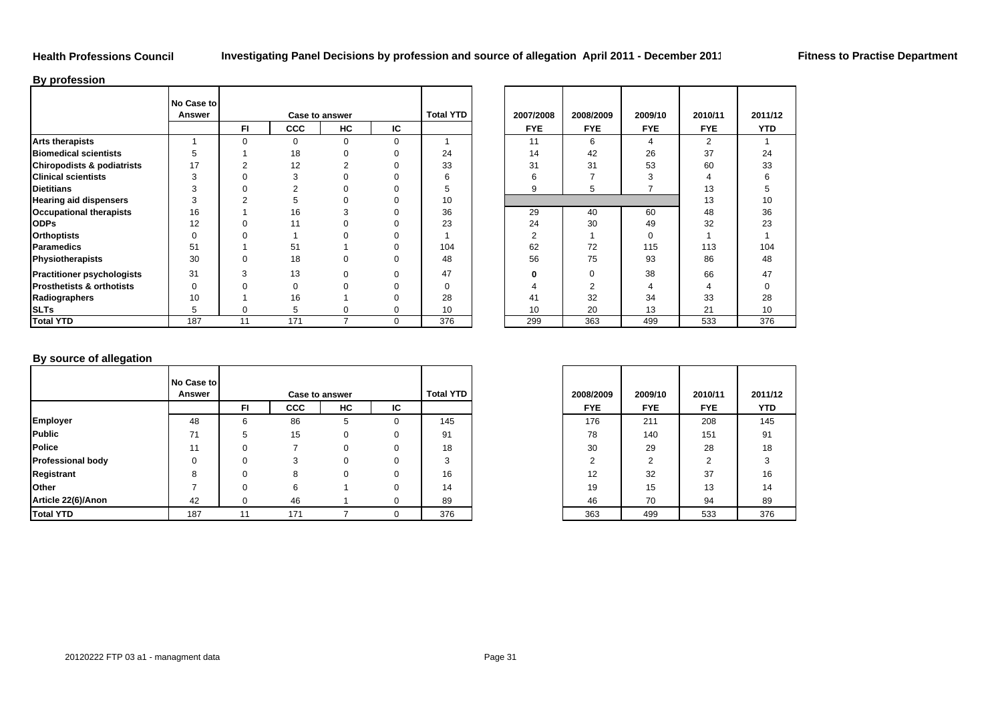### **By profession**

|                                       | No Case to |    |            |                |    |                  |            |            |            |            |            |
|---------------------------------------|------------|----|------------|----------------|----|------------------|------------|------------|------------|------------|------------|
|                                       | Answer     |    |            | Case to answer |    | <b>Total YTD</b> | 2007/2008  | 2008/2009  | 2009/10    | 2010/11    | 2011/      |
|                                       |            | FI | <b>CCC</b> | HC             | IC |                  | <b>FYE</b> | <b>FYE</b> | <b>FYE</b> | <b>FYE</b> | <b>YTE</b> |
| <b>Arts therapists</b>                |            | 0  | $\Omega$   | 0              | 0  |                  | 11         | 6          | 4          | 2          |            |
| <b>Biomedical scientists</b>          | 5          |    | 18         |                | 0  | 24               | 14         | 42         | 26         | 37         | 24         |
| <b>Chiropodists &amp; podiatrists</b> | 17         |    | 12         |                | 0  | 33               | 31         | 31         | 53         | 60         | 33         |
| <b>Clinical scientists</b>            | 3          |    |            |                | ი  | 6                | 6          |            |            |            | 6          |
| <b>Dietitians</b>                     | 3          |    |            |                | 0  |                  | 9          | 5          |            | 13         |            |
| <b>Hearing aid dispensers</b>         | 3          |    |            |                | ი  | 10               |            |            |            | 13         | 10         |
| <b>Occupational therapists</b>        | 16         |    | 16         |                | 0  | 36               | 29         | 40         | 60         | 48         | 36         |
| <b>IODPs</b>                          | 12         |    | 11         |                | ი  | 23               | 24         | 30         | 49         | 32         | 23         |
| <b>Orthoptists</b>                    | $\Omega$   |    |            |                | 0  |                  | 2          |            | 0          |            |            |
| <b>Paramedics</b>                     | 51         |    | 51         |                | 0  | 104              | 62         | 72         | 115        | 113        | 104        |
| Physiotherapists                      | 30         | 0  | 18         |                | 0  | 48               | 56         | 75         | 93         | 86         | 48         |
| <b>Practitioner psychologists</b>     | 31         | 3  | 13         |                | 0  | 47               | O          | $\Omega$   | 38         | 66         | 47         |
| <b>Prosthetists &amp; orthotists</b>  | $\Omega$   |    |            |                | 0  | 0                |            | 2          | 4          | 4          | O          |
| Radiographers                         | 10         |    | 16         |                | O  | 28               | 41         | 32         | 34         | 33         | 28         |
| <b>SLTs</b>                           | 5          | 0  | 5          |                | 0  | 10               | 10         | 20         | 13         | 21         | 10         |
| <b>Total YTD</b>                      | 187        | 11 | 171        |                | 0  | 376              | 299        | 363        | 499        | 533        | 376        |

|   | <b>Total YTD</b> | 2007/2008      | 2008/2009      | 2009/10        | 2010/11        | 2011/12     |
|---|------------------|----------------|----------------|----------------|----------------|-------------|
| C |                  | <b>FYE</b>     | <b>FYE</b>     | <b>FYE</b>     | <b>FYE</b>     | YTD         |
| 0 | 1                | 11             | 6              | $\overline{4}$ | $\mathbf{2}$   | 1           |
| 0 | 24               | 14             | 42             | 26             | 37             | 24          |
| 0 | 33               | 31             | 31             | 53             | 60             | 33          |
| 0 | 6                | 6              | 7              | 3              | $\overline{4}$ | 6           |
| 0 | 5                | 9              | 5              | $\overline{7}$ | 13             | 5           |
| 0 | 10               |                |                |                | 13             | 10          |
| 0 | 36               | 29             | 40             | 60             | 48             | 36          |
| 0 | 23               | 24             | 30             | 49             | 32             | 23          |
| 0 | 1                | 2              | 1              | $\mathbf 0$    | 1              | 1           |
| 0 | 104              | 62             | 72             | 115            | 113            | 104         |
| 0 | 48               | 56             | 75             | 93             | 86             | 48          |
| 0 | 47               | 0              | $\mathbf 0$    | 38             | 66             | 47          |
| 0 | $\mathbf 0$      | $\overline{4}$ | $\overline{2}$ | $\overline{4}$ | $\overline{4}$ | $\mathbf 0$ |
| 0 | 28               | 41             | 32             | 34             | 33             | 28          |
| 0 | 10               | 10             | 20             | 13             | 21             | 10          |
| 0 | 376              | 299            | 363            | 499            | 533            | 376         |

## **By source of allegation**

|                          | No Case to |          |              |                       |    |                  |            |            |            |            |
|--------------------------|------------|----------|--------------|-----------------------|----|------------------|------------|------------|------------|------------|
|                          | Answer     |          |              | <b>Case to answer</b> |    | <b>Total YTD</b> | 2008/2009  | 2009/10    | 2010/11    | 2011/      |
|                          |            | FI       | $_{\rm ccc}$ | HC                    | IC |                  | <b>FYE</b> | <b>FYE</b> | <b>FYE</b> | <b>YTE</b> |
| Employer                 | 48         | 6        | 86           | 5                     |    | 145              | 176        | 211        | 208        | 145        |
| <b>Public</b>            | 71         | 5        | 15           | 0                     |    | 91               | 78         | 140        | 151        | 91         |
| <b>Police</b>            | 11         | 0        |              |                       |    | 18               | 30         | 29         | 28         | 18         |
| <b>Professional body</b> | $\Omega$   | $\Omega$ |              |                       |    | 3                | $\sqrt{2}$ |            | າ          | 3          |
| Registrant               | 8          | 0        | 8            |                       |    | 16               | 12         | 32         | 37         | 16         |
| Other                    |            | $\Omega$ | 6            |                       |    | 14               | 19         | 15         | 13         | 14         |
| Article 22(6)/Anon       | 42         |          | 46           |                       |    | 89               | 46         | 70         | 94         | 89         |
| <b>Total YTD</b>         | 187        | 11       | 171          |                       |    | 376              | 363        | 499        | 533        | 376        |

| er             |             | <b>Total YTD</b> | 2008/2009      | 2009/10    | 2010/11        | 2011/12    |
|----------------|-------------|------------------|----------------|------------|----------------|------------|
| łС             | IC          |                  | <b>FYE</b>     | <b>FYE</b> | <b>FYE</b>     | <b>YTD</b> |
| 5              | $\mathbf 0$ | 145              | 176            | 211        | 208            | 145        |
| 0              | 0           | 91               | 78             | 140        | 151            | 91         |
| 0              | $\mathbf 0$ | 18               | 30             | 29         | 28             | 18         |
| 0              | $\mathbf 0$ | 3                | $\overline{2}$ | 2          | $\overline{2}$ | 3          |
| 0              | $\mathbf 0$ | 16               | 12             | 32         | 37             | 16         |
| 1              | $\mathbf 0$ | 14               | 19             | 15         | 13             | 14         |
| 1              | $\mathbf 0$ | 89               | 46             | 70         | 94             | 89         |
| $\overline{7}$ | $\mathbf 0$ | 376              | 363            | 499        | 533            | 376        |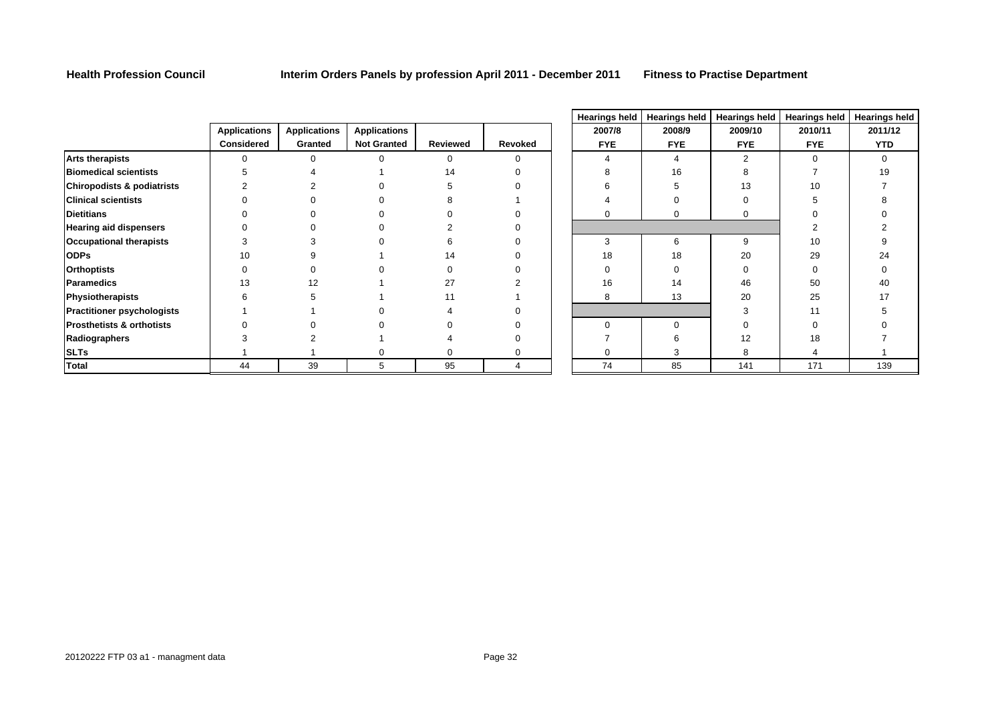|                                       |                     |                     |                     |          |          |            | Hearings neig   Hearings neig   Hearings neig   Hearings neig |            |                 | nearings r |
|---------------------------------------|---------------------|---------------------|---------------------|----------|----------|------------|---------------------------------------------------------------|------------|-----------------|------------|
|                                       | <b>Applications</b> | <b>Applications</b> | <b>Applications</b> |          |          | 2007/8     | 2008/9                                                        | 2009/10    | 2010/11         | 2011/12    |
|                                       | <b>Considered</b>   | Granted             | <b>Not Granted</b>  | Reviewed | Revoked  | <b>FYE</b> | <b>FYE</b>                                                    | <b>FYE</b> | <b>FYE</b>      | <b>YTD</b> |
| <b>Arts therapists</b>                | 0                   |                     |                     |          | $\Omega$ |            |                                                               |            | $\Omega$        | 0          |
| <b>Biomedical scientists</b>          |                     |                     |                     | 14       |          |            | 16                                                            |            |                 | 19         |
| <b>Chiropodists &amp; podiatrists</b> |                     |                     |                     |          |          |            |                                                               | 13         | 10              |            |
| <b>Clinical scientists</b>            |                     |                     |                     |          |          |            |                                                               |            |                 |            |
| <b>Dietitians</b>                     |                     |                     |                     |          |          |            |                                                               |            |                 |            |
| <b>Hearing aid dispensers</b>         |                     |                     |                     |          |          |            |                                                               |            |                 |            |
| <b>Occupational therapists</b>        |                     |                     |                     |          |          | 3          |                                                               | 9          | 10 <sup>°</sup> |            |
| <b>ODPs</b>                           | 10                  |                     |                     |          |          | 18         | 18                                                            | 20         | 29              | 24         |
| <b>Orthoptists</b>                    |                     |                     |                     |          |          |            |                                                               |            |                 |            |
| <b>Paramedics</b>                     | 13                  | 12                  |                     | 27       |          | 16         | 14                                                            | 46         | 50              | 40         |
| <b>Physiotherapists</b>               |                     |                     |                     |          |          | 8          | 13                                                            | 20         | 25              | 17         |
| <b>Practitioner psychologists</b>     |                     |                     |                     |          |          |            |                                                               |            | 11              |            |
| <b>Prosthetists &amp; orthotists</b>  |                     |                     |                     |          |          | $\Omega$   |                                                               |            |                 |            |
| Radiographers                         |                     |                     |                     |          |          |            |                                                               | 12         | 18              |            |
| <b>SLTs</b>                           |                     |                     |                     |          |          |            |                                                               | 8          |                 |            |
| <b>Total</b>                          | 44                  | 39                  | 5                   | 95       |          | 74         | 85                                                            | 141        | 171             | 139        |

|        |                     |                     |                 |         | Hearings held | <b>Hearings held</b> | <b>Hearings held</b> | <b>Hearings held</b> | <b>Hearings held</b> |
|--------|---------------------|---------------------|-----------------|---------|---------------|----------------------|----------------------|----------------------|----------------------|
| ations | <b>Applications</b> | <b>Applications</b> |                 |         | 2007/8        | 2008/9               | 2009/10              | 2010/11              | 2011/12              |
| dered  | Granted             | <b>Not Granted</b>  | <b>Reviewed</b> | Revoked | <b>FYE</b>    | <b>FYE</b>           | <b>FYE</b>           | <b>FYE</b>           | <b>YTD</b>           |
|        | $\Omega$            | 0                   | $\Omega$        | 0       | 4             | 4                    | $\overline{2}$       | 0                    | 0                    |
|        |                     |                     | 14              |         | 8             | 16                   | 8                    |                      | 19                   |
|        |                     |                     |                 |         |               | 5                    | 13                   | 10                   |                      |
|        |                     |                     |                 |         |               |                      |                      |                      |                      |
|        |                     |                     |                 |         | 0             | 0                    | 0                    |                      |                      |
|        |                     |                     |                 |         |               |                      |                      |                      |                      |
|        |                     |                     |                 |         | 3             | 6                    | 9                    | 10                   |                      |
|        |                     |                     | 14              |         | 18            | 18                   | 20                   | 29                   | 24                   |
|        |                     |                     |                 |         | 0             | $\Omega$             | $\Omega$             |                      | <sup>0</sup>         |
|        | 12                  |                     | 27              |         | 16            | 14                   | 46                   | 50                   | 40                   |
|        | 5                   |                     | 11              |         | 8             | 13                   | 20                   | 25                   | 17                   |
|        |                     |                     |                 |         |               |                      | 3                    | 11                   |                      |
|        |                     |                     |                 |         | 0             | $\Omega$             |                      |                      |                      |
|        |                     |                     |                 |         |               | 6                    | 12                   | 18                   |                      |
|        |                     |                     |                 |         |               | 3                    | 8                    |                      |                      |
|        | 39                  | 5                   | 95              | 4       | 74            | 85                   | 141                  | 171                  | 139                  |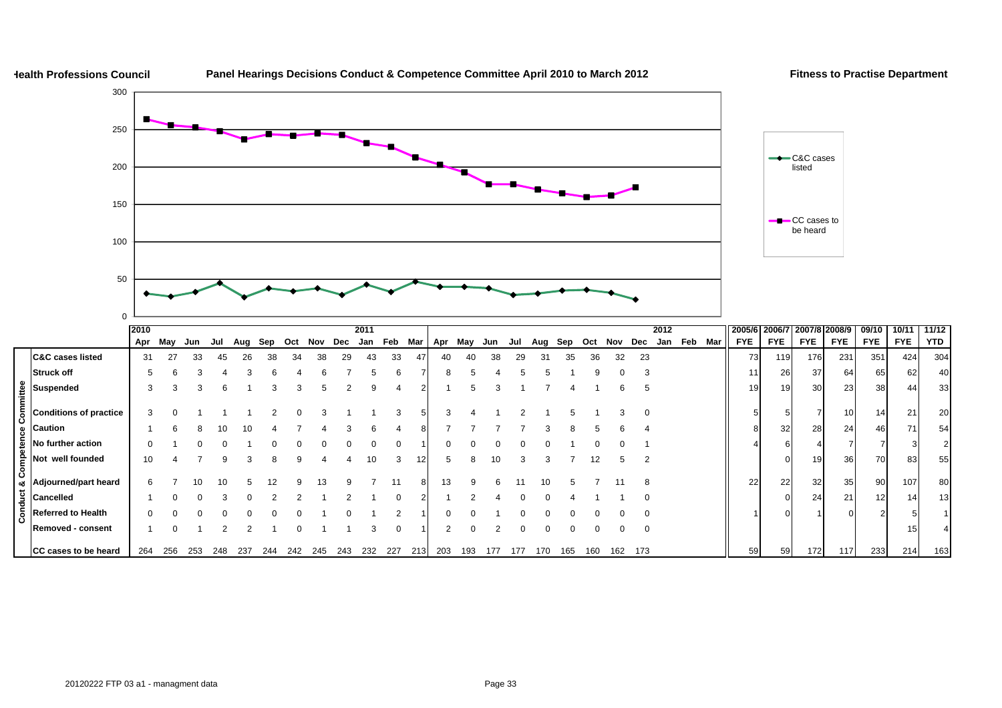

#### **Panel Hearings Decisions Conduct & Competence Committee April 2010 to March 2012 Fitness to Practise Department**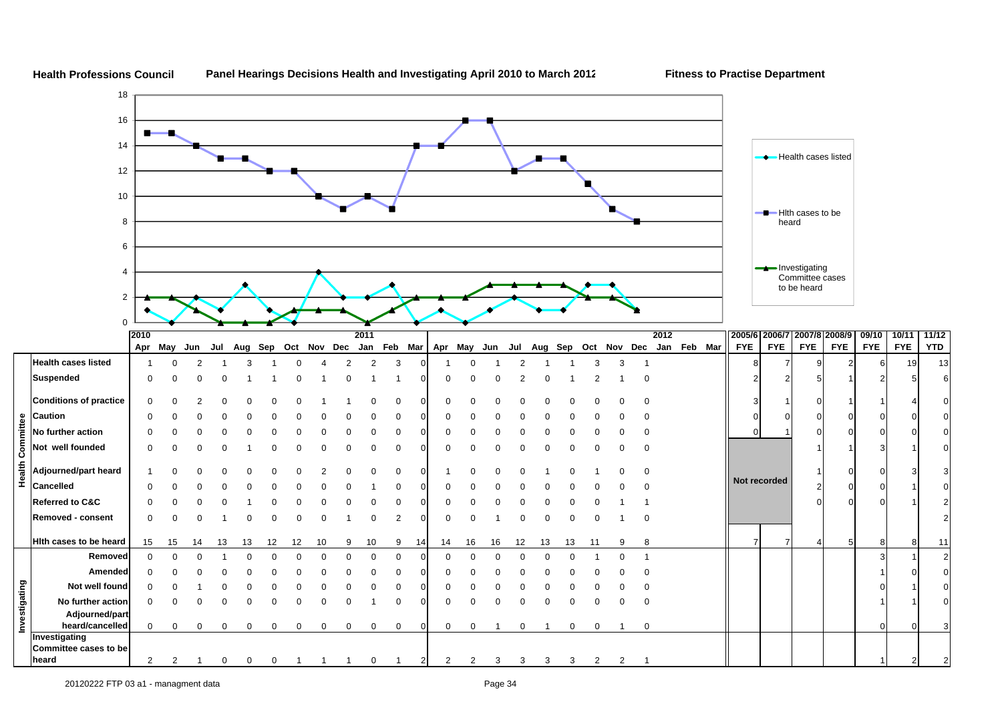

#### **Health Professions CouncilPanel Hearings Decisions Health and Investigating April 2010 to March 2012 Fitness to Practise Department**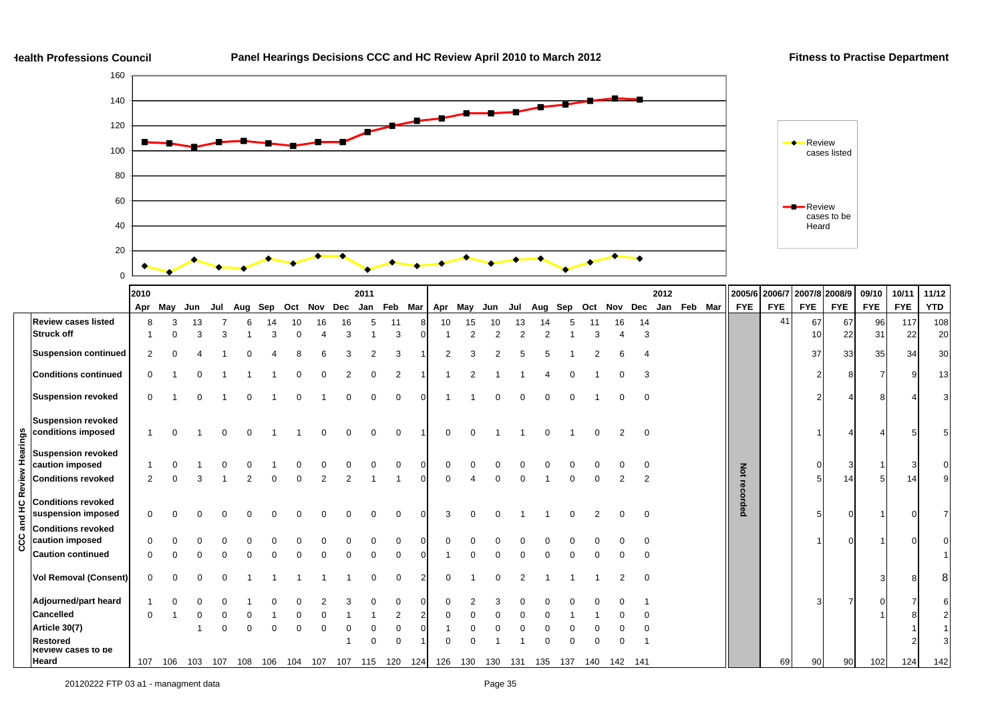

|          |                                                 | 2010           |         |     |          |          |     |     |                         |     | 2011     |                         |          |     |     |     |             |     |             |         |                | 2012 |             |              | 2005/6 2006/7 2007/8 2008/9 |            |            | 09/10      | 10/11        | 11/12          |
|----------|-------------------------------------------------|----------------|---------|-----|----------|----------|-----|-----|-------------------------|-----|----------|-------------------------|----------|-----|-----|-----|-------------|-----|-------------|---------|----------------|------|-------------|--------------|-----------------------------|------------|------------|------------|--------------|----------------|
|          |                                                 |                | Apr May | Jun |          |          |     |     | Jul Aug Sep Oct Nov Dec |     |          | Jan Feb Mar Apr May Jun |          |     |     |     | Jul Aug Sep |     | Oct Nov Dec |         |                |      | Jan Feb Mar | <b>FYE</b>   | <b>FYE</b>                  | <b>FYE</b> | <b>FYE</b> | <b>FYE</b> | <b>FYE</b>   | <b>YTD</b>     |
|          | <b>Review cases listed</b>                      | 8              | 3       | 13  |          |          |     |     |                         | 16  |          |                         | 10       | 15  |     | 13  |             |     |             |         | 14             |      |             |              | 41                          | 67         | 67         | 96         | 117          | 108            |
|          | <b>Struck off</b>                               |                | ∩       | 3   |          |          |     |     |                         | 3   |          | 3                       |          |     |     |     |             |     |             |         | 3              |      |             |              |                             | 10         | 22         | 31         | 22           | 20             |
|          | <b>Suspension continued</b>                     |                |         |     |          |          |     |     |                         |     |          | 3                       | c        |     |     |     |             |     |             |         |                |      |             |              |                             | 37         | 33         | 35         | 34           | 30             |
|          | <b>Conditions continued</b>                     |                |         |     |          |          |     |     |                         |     |          | $\overline{2}$          |          |     |     |     |             |     |             |         | 3              |      |             |              |                             |            |            |            | q            | 13             |
|          | <b>Suspension revoked</b>                       | $\Omega$       |         |     |          |          |     |     |                         |     |          | $\Omega$                |          |     |     |     |             |     |             |         | $\Omega$       |      |             |              |                             |            |            |            |              | $\mathbf{3}$   |
|          | <b>Suspension revoked</b><br>conditions imposed |                |         |     |          |          |     |     |                         |     | $\Omega$ | $\Omega$                | $\Omega$ |     |     |     |             |     |             | 2       | $\mathbf 0$    |      |             |              |                             |            |            |            |              |                |
| Hearings | <b>Suspension revoked</b><br>caution imposed    |                |         |     |          |          |     |     |                         |     |          | $\Omega$                | 0        |     |     |     |             |     |             |         |                |      |             |              |                             |            |            |            |              | $\overline{0}$ |
| Review   | <b>Conditions revoked</b>                       | $\overline{2}$ |         |     |          |          |     |     |                         |     |          |                         | $\Omega$ |     |     |     |             |     |             |         | $\overline{2}$ |      |             | Not recorded |                             |            | 14         |            | 14           | $\mathbf{Q}$   |
| 잎<br>and | <b>Conditions revoked</b><br>suspension imposed | $\Omega$       |         |     |          |          |     |     |                         |     |          | $\Omega$                | 3        |     |     |     |             |     |             |         | $\Omega$       |      |             |              |                             |            |            |            | <sup>0</sup> |                |
| င္ပင     | <b>Conditions revoked</b><br>caution imposed    |                |         |     |          |          |     |     |                         |     |          |                         |          |     |     |     |             |     |             |         |                |      |             |              |                             |            |            |            |              |                |
|          | <b>Caution continued</b>                        | $\Omega$       |         |     |          |          |     |     |                         |     | $\Omega$ | $\Omega$                |          |     |     |     |             |     |             |         |                |      |             |              |                             |            |            |            |              |                |
|          | <b>Vol Removal (Consent)</b>                    | $\Omega$       |         |     |          |          |     |     |                         |     |          | $\Omega$                | $\Omega$ |     |     |     |             |     |             |         | $\Omega$       |      |             |              |                             |            |            |            |              | 8              |
|          | Adjourned/part heard                            |                |         |     |          |          |     |     |                         |     |          |                         |          |     |     |     |             |     |             |         |                |      |             |              |                             |            |            |            |              | 6              |
|          | <b>Cancelled</b>                                | $\Omega$       |         |     |          |          |     |     |                         |     |          | $\overline{2}$          |          |     |     |     |             |     |             |         |                |      |             |              |                             |            |            |            |              | $\mathbf{2}$   |
|          | Article 30(7)                                   |                |         |     | $\Omega$ | $\Omega$ |     |     |                         |     | 0        | $\Omega$                |          | 0   |     |     |             |     |             |         |                |      |             |              |                             |            |            |            |              |                |
|          | <b>Restored</b><br>Review cases to be           |                |         |     |          |          |     |     |                         |     | $\Omega$ | $\mathbf 0$             | $\Omega$ | ∩   |     |     |             |     |             |         |                |      |             |              |                             |            |            |            |              | 3 <sup>l</sup> |
|          | Heard                                           | 107            | 106     | 103 | 107      | 108      | 106 | 104 | 107                     | 107 | 115      | 120                     | 124 126  | 130 | 130 | 131 | 135         | 137 | 140         | 142 141 |                |      |             |              | 69                          | 90         | 90         | 102        | 124          | 142            |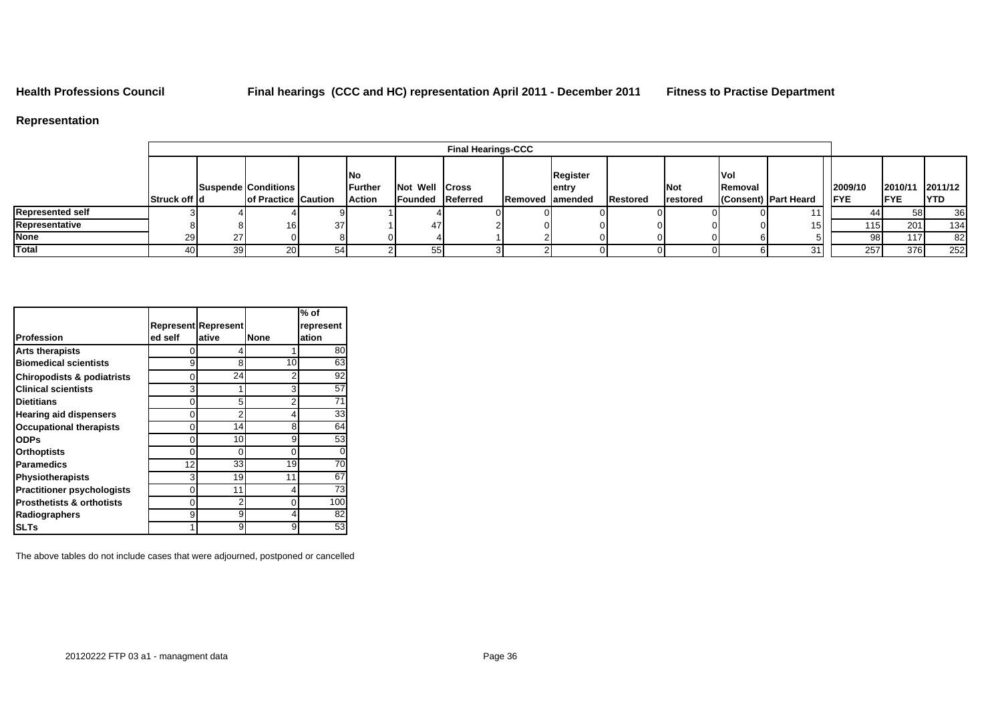### **Representation**

|                         |               |                            |     |                               |                         | <b>Final Hearings-CCC</b> |                  |                   |                 |             |                                |                      |             |             |             |
|-------------------------|---------------|----------------------------|-----|-------------------------------|-------------------------|---------------------------|------------------|-------------------|-----------------|-------------|--------------------------------|----------------------|-------------|-------------|-------------|
|                         |               | Suspende Conditions        |     | <b>INo</b><br><b>IFurther</b> | Not Well Cross          |                           |                  | Register<br>entry |                 | <b>INot</b> | <b>IVol</b><br><b>IRemoval</b> |                      | 2009/10     | 2010/11     | 2011/12     |
|                         | Struck off Id | <b>of Practice Caution</b> |     | Action                        | <b>Founded Referred</b> |                           | Removed lamended |                   | <b>Restored</b> | restored    |                                | (Consent) Part Heard | <b>IFYE</b> | <b>IFYE</b> | <b>IYTD</b> |
| <b>Represented self</b> |               |                            |     |                               |                         |                           |                  |                   |                 |             |                                |                      |             |             | 36          |
| Representative          |               | 161                        | 37  |                               |                         |                           |                  |                   |                 |             |                                |                      | 115         | 201         | 134         |
| <b>None</b>             | <b>29</b>     |                            |     |                               |                         |                           |                  |                   |                 |             |                                |                      |             |             | 82          |
| Total                   | 40 I          | <b>20</b>                  | 541 |                               |                         |                           |                  |                   |                 |             |                                |                      | 257         | 376         | 252         |

|                                       |         |                            |                | $%$ of    |
|---------------------------------------|---------|----------------------------|----------------|-----------|
|                                       |         | <b>Represent Represent</b> |                | represent |
| <b>Profession</b>                     | ed self | ative                      | <b>None</b>    | ation     |
| <b>Arts therapists</b>                | 0       | 4                          |                | 80        |
| <b>Biomedical scientists</b>          | 9       | 8                          | 10             | 63        |
| <b>Chiropodists &amp; podiatrists</b> | 0       | 24                         | 2              | 92        |
| <b>Clinical scientists</b>            | 3       | 1                          | 3              | 57        |
| <b>Dietitians</b>                     | 0       | 5                          | $\overline{2}$ | 71        |
| <b>Hearing aid dispensers</b>         | 0       | $\overline{2}$             | 4              | 33        |
| <b>Occupational therapists</b>        | 0       | 14                         | 8              | 64        |
| <b>ODPs</b>                           | 0       | 10                         | 9              | 53        |
| <b>Orthoptists</b>                    | 0       | 0                          | 0              |           |
| <b>Paramedics</b>                     | 12      | 33                         | 19             | 70        |
| Physiotherapists                      | 3       | 19                         | 11             | 67        |
| <b>Practitioner psychologists</b>     | 0       | 11                         | 4              | 73        |
| <b>Prosthetists &amp; orthotists</b>  | C       | $\overline{2}$             | 0              | 100       |
| Radiographers                         | 9       | 9                          | 4              | 82        |
| <b>SLTs</b>                           |         | 9                          | 9              | 53        |

The above tables do not include cases that were adjourned, postponed or cancelled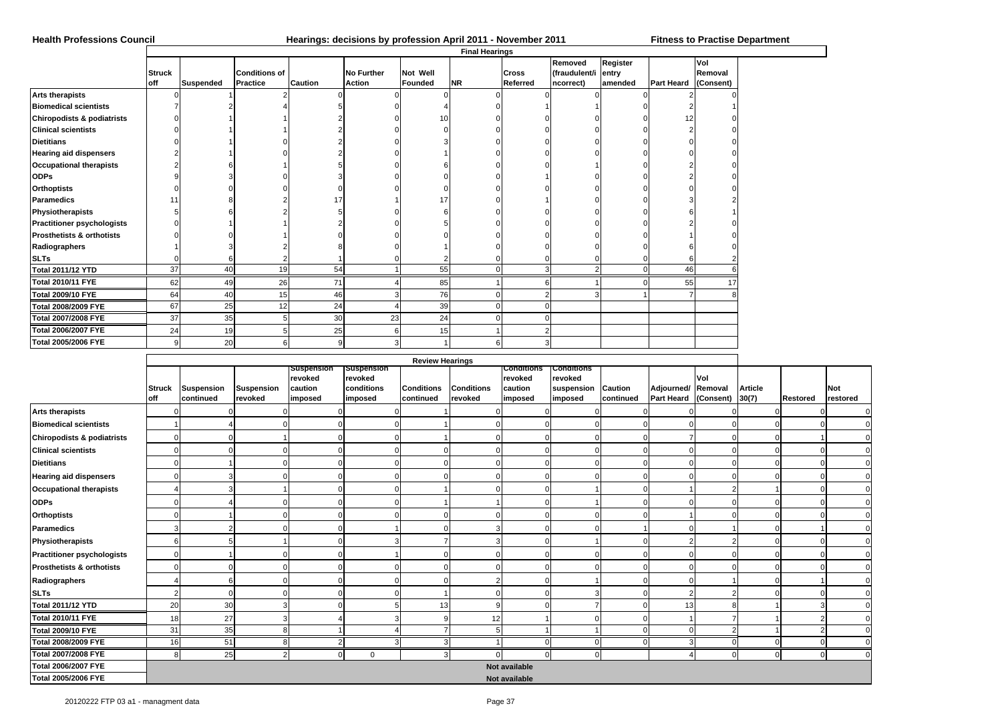$\overline{a}$ 

#### **Hearings: decisions by profession April 2011 - November 2011 Fitness to Practise Department**

|                                       |               |           |                      |                |                   |          | <b>Final Hearings</b> |                |               |          |                   |           |  |
|---------------------------------------|---------------|-----------|----------------------|----------------|-------------------|----------|-----------------------|----------------|---------------|----------|-------------------|-----------|--|
|                                       |               |           |                      |                |                   |          |                       |                | Removed       | Register |                   | Vol       |  |
|                                       | <b>Struck</b> |           | <b>Conditions of</b> |                | <b>No Further</b> | Not Well |                       | <b>Cross</b>   | (fraudulent/i | entry    |                   | Removal   |  |
|                                       | off           | Suspended | Practice             | <b>Caution</b> | <b>Action</b>     | Founded  | <b>NR</b>             | Referred       | ncorrect)     | amended  | <b>Part Heard</b> | (Consent) |  |
| <b>Arts therapists</b>                |               |           |                      |                |                   |          |                       |                |               |          |                   |           |  |
| <b>Biomedical scientists</b>          |               |           |                      |                |                   |          |                       |                |               |          |                   |           |  |
| <b>Chiropodists &amp; podiatrists</b> |               |           |                      |                |                   | 10       |                       |                |               |          |                   |           |  |
| <b>Clinical scientists</b>            |               |           |                      |                |                   |          |                       |                |               |          |                   |           |  |
| <b>Dietitians</b>                     |               |           |                      |                |                   |          |                       |                |               |          |                   |           |  |
| <b>Hearing aid dispensers</b>         |               |           |                      |                |                   |          |                       |                |               |          |                   |           |  |
| <b>Occupational therapists</b>        |               |           |                      |                |                   |          |                       |                |               |          |                   |           |  |
| <b>ODPs</b>                           |               |           |                      |                |                   |          |                       |                |               |          |                   |           |  |
| <b>Orthoptists</b>                    |               |           |                      |                |                   |          |                       |                |               |          |                   |           |  |
| <b>Paramedics</b>                     |               |           |                      |                |                   | 17       |                       |                |               |          |                   |           |  |
| Physiotherapists                      |               |           |                      |                |                   |          |                       |                |               |          |                   |           |  |
| <b>Practitioner psychologists</b>     |               |           |                      |                |                   |          |                       |                |               |          |                   |           |  |
| <b>Prosthetists &amp; orthotists</b>  |               |           |                      |                |                   |          |                       |                |               |          |                   |           |  |
| Radiographers                         |               |           |                      |                |                   |          |                       |                |               |          |                   |           |  |
| <b>SLTs</b>                           |               | 6         |                      |                |                   |          |                       |                |               |          |                   |           |  |
| <b>Total 2011/12 YTD</b>              | 37            | 40        | 19                   | 54             |                   | 55       |                       | 3              |               |          | 46                |           |  |
| <b>Total 2010/11 FYE</b>              | 62            | 49        | 26                   | 71             |                   | 85       |                       | 6              |               |          | 55                |           |  |
| <b>Total 2009/10 FYE</b>              | 64            | 40        | 15                   | 46             |                   | 76       |                       | 2              |               |          |                   |           |  |
| Total 2008/2009 FYE                   | 67            | 25        | 12                   | 24             |                   | 39       |                       | $\Omega$       |               |          |                   |           |  |
| <b>Total 2007/2008 FYE</b>            | 37            | 35        | 5                    | 30             | 23                | 24       |                       | 0              |               |          |                   |           |  |
| <b>Total 2006/2007 FYE</b>            | 24            | 19        | 5                    | 25             |                   | 15       |                       | $\overline{2}$ |               |          |                   |           |  |
| <b>Total 2005/2006 FYE</b>            | 9             | 20        | 6                    |                |                   |          | 6                     | 3              |               |          |                   |           |  |

|                                       |                      |                         |                              |                                                    |                                                | <b>Review Hearings</b>         |                              |                                                    |                                                       |                             |                                            |          |                         |                 |                        |
|---------------------------------------|----------------------|-------------------------|------------------------------|----------------------------------------------------|------------------------------------------------|--------------------------------|------------------------------|----------------------------------------------------|-------------------------------------------------------|-----------------------------|--------------------------------------------|----------|-------------------------|-----------------|------------------------|
|                                       | <b>Struck</b><br>off | Suspension<br>continued | <b>Suspension</b><br>revoked | <b>Suspension</b><br>revoked<br>caution<br>imposed | Suspension<br>revoked<br>conditions<br>imposed | <b>Conditions</b><br>continued | <b>Conditions</b><br>revoked | <b>Conditions</b><br>revoked<br>caution<br>imposed | <b>Conditions</b><br>revoked<br>suspension<br>imposed | <b>Caution</b><br>continued | Adjourned/ Removal<br>Part Heard (Consent) | Vol      | <b>Article</b><br>30(7) | <b>Restored</b> | <b>Not</b><br>restored |
| <b>Arts therapists</b>                |                      |                         |                              |                                                    | $\Omega$                                       |                                | $\Omega$                     |                                                    |                                                       | $\overline{0}$              |                                            |          |                         |                 | 0                      |
| <b>Biomedical scientists</b>          |                      |                         |                              |                                                    |                                                |                                | $\Omega$                     |                                                    |                                                       | $\Omega$                    |                                            |          |                         |                 |                        |
| <b>Chiropodists &amp; podiatrists</b> |                      |                         |                              |                                                    |                                                |                                | $\Omega$                     |                                                    |                                                       | $\Omega$                    |                                            |          |                         |                 |                        |
| <b>Clinical scientists</b>            |                      |                         |                              |                                                    |                                                |                                | $\Omega$                     |                                                    |                                                       | $\Omega$                    |                                            |          |                         |                 |                        |
| <b>Dietitians</b>                     |                      |                         |                              |                                                    |                                                |                                | $\Omega$                     |                                                    |                                                       | $\Omega$                    |                                            |          |                         |                 |                        |
| <b>Hearing aid dispensers</b>         |                      |                         |                              |                                                    |                                                |                                | $\Omega$                     |                                                    |                                                       | 0                           |                                            |          |                         |                 |                        |
| <b>Occupational therapists</b>        |                      |                         |                              |                                                    |                                                |                                |                              |                                                    |                                                       | $\Omega$                    |                                            |          |                         |                 |                        |
| <b>ODPs</b>                           |                      |                         |                              |                                                    |                                                |                                |                              |                                                    |                                                       | $\Omega$                    |                                            |          |                         |                 |                        |
| <b>Orthoptists</b>                    |                      |                         |                              |                                                    |                                                |                                |                              |                                                    |                                                       | $\Omega$                    |                                            |          |                         |                 |                        |
| <b>Paramedics</b>                     |                      | $\sim$                  |                              |                                                    |                                                |                                | 3                            |                                                    |                                                       |                             |                                            |          |                         |                 |                        |
| Physiotherapists                      |                      |                         |                              |                                                    |                                                |                                |                              |                                                    |                                                       | $\Omega$                    |                                            |          |                         |                 |                        |
| <b>Practitioner psychologists</b>     |                      |                         |                              |                                                    |                                                |                                | $\Omega$                     |                                                    |                                                       | $\Omega$                    |                                            |          |                         |                 |                        |
| <b>Prosthetists &amp; orthotists</b>  |                      |                         |                              |                                                    |                                                |                                | $\Omega$                     |                                                    |                                                       | $\Omega$                    |                                            |          |                         |                 |                        |
| Radiographers                         |                      | 6                       |                              |                                                    |                                                |                                |                              |                                                    |                                                       | $\Omega$                    |                                            |          |                         |                 |                        |
| <b>SLTs</b>                           |                      |                         |                              |                                                    |                                                |                                |                              |                                                    |                                                       | $\Omega$                    |                                            |          |                         |                 |                        |
| <b>Total 2011/12 YTD</b>              | 20                   | 30                      |                              |                                                    |                                                | 13                             | 9                            |                                                    |                                                       | $\Omega$                    | 13                                         |          |                         |                 |                        |
| <b>Total 2010/11 FYE</b>              | 18                   | 27                      |                              |                                                    |                                                |                                | 12                           |                                                    |                                                       |                             |                                            |          |                         |                 |                        |
| <b>Total 2009/10 FYE</b>              | 31                   | 35                      |                              |                                                    |                                                |                                |                              |                                                    |                                                       | $\Omega$                    | $\Omega$                                   |          |                         |                 |                        |
| <b>Total 2008/2009 FYE</b>            | 16                   | 51                      | 8                            | ◠                                                  | ູ                                              | 3                              |                              | U                                                  | $\Omega$                                              | $\Omega$                    | 3                                          |          | $\Omega$                | $\sqrt{2}$      |                        |
| Total 2007/2008 FYE                   | 8                    | 25                      | $\overline{2}$               | $\mathbf 0$                                        | $\mathbf 0$                                    | 3                              | $\Omega$                     | U                                                  | $\mathbf 0$                                           |                             |                                            | $\Omega$ | $\Omega$                | $\mathbf 0$     | $\Omega$               |
| Total 2006/2007 FYE                   |                      |                         |                              |                                                    |                                                |                                |                              | Not available                                      |                                                       |                             |                                            |          |                         |                 |                        |
| Total 2005/2006 FYE                   |                      |                         |                              |                                                    |                                                |                                |                              | Not available                                      |                                                       |                             |                                            |          |                         |                 |                        |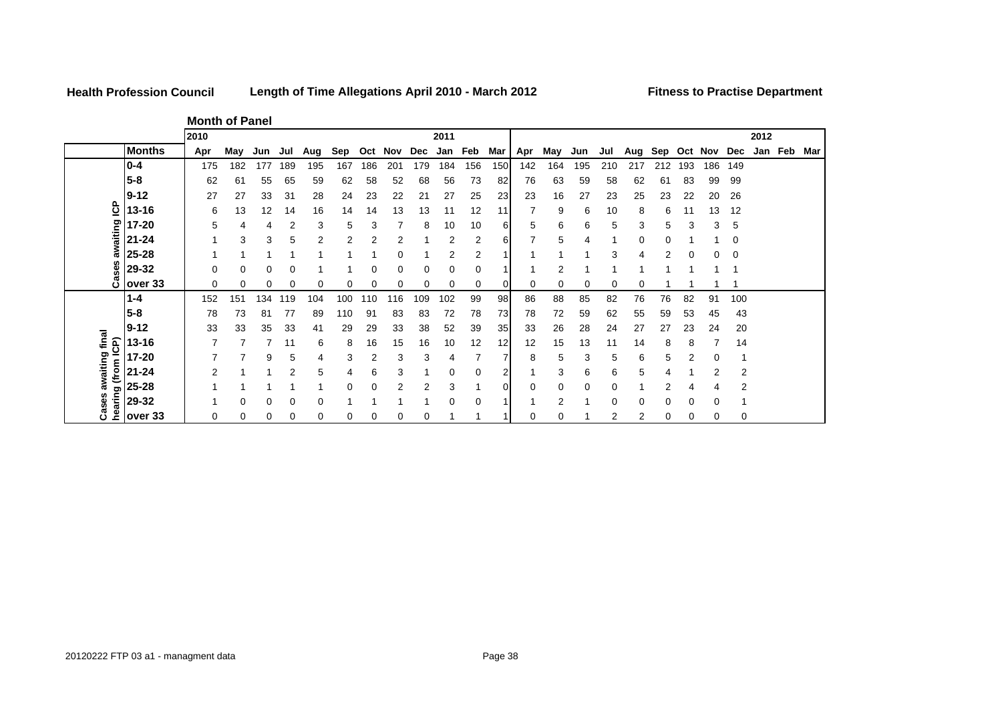**Length of Time Allegations April 2010 - March 2012 Fitness to Practise Department**

**Month of Panel**

|                     |                                                                  | 2010 |     |     |     |     |     |     |     |     | 2011 |     |     |     |     |     |     |     |     |         |     |     | 2012 |         |     |
|---------------------|------------------------------------------------------------------|------|-----|-----|-----|-----|-----|-----|-----|-----|------|-----|-----|-----|-----|-----|-----|-----|-----|---------|-----|-----|------|---------|-----|
|                     | <b>Months</b>                                                    | Apr  | May | Jun | Jul | Aug | Sep | Oct | Nov | Dec | Jan  | Feb | Mar | Apr | May | Jun | Jul | Aug | Sep | Oct Nov |     | Dec |      | Jan Feb | Mar |
|                     | $0 - 4$                                                          | 175  | 182 | 177 | 189 | 195 | 167 | 186 | 201 | 179 | 184  | 156 | 150 | 142 | 164 | 195 | 210 | 217 | 212 | 193     | 186 | 149 |      |         |     |
|                     | $5-8$                                                            | 62   | 61  | 55  | 65  | 59  | 62  | 58  | 52  | 68  | 56   | 73  | 82  | 76  | 63  | 59  | 58  | 62  | 61  | 83      | 99  | 99  |      |         |     |
|                     | $9 - 12$                                                         | 27   | 27  | 33  | 31  | 28  | 24  | 23  | 22  | 21  | 27   | 25  | 23  | 23  | 16  | 27  | 23  | 25  | 23  | 22      | 20  | 26  |      |         |     |
| င်္                 | 13-16                                                            | 6    | 13  | 12  | 14  | 16  | 14  | 14  | 13  | 13  | 11   | 12  | 11  |     | 9   | 6   | 10  | 8   | 6   | 11      | 13  | 12  |      |         |     |
|                     | 17-20                                                            | 5    | 4   | 4   | 2   | 3   | 5   | 3   |     | 8   | 10   | 10  | 6   | 5   | 6   | 6   | 5   | 3   | 5   | 3       | 3   | 5   |      |         |     |
| aiting              | $21 - 24$                                                        |      | 3   | 3   | 5   | 2   | 2   | 2   | 2   |     | 2    | 2   | 6   |     | 5   | 4   |     | 0   | 0   |         |     | 0   |      |         |     |
| శె                  | 25-28                                                            |      |     |     |     |     |     |     | 0   |     | 2    | 2   |     |     |     |     | 3   | 4   | 2   | 0       | 0   | 0   |      |         |     |
| m<br>ဖွံ့           | 29-32                                                            |      | 0   | C   | 0   |     |     | 0   | 0   | 0   | 0    | 0   |     |     |     |     |     |     |     |         |     |     |      |         |     |
| යී                  | over 33                                                          |      | 0   | 0   | 0   |     | 0   | 0   | 0   | O   | 0    | 0   |     | 0   | 0   |     | 0   | O   |     |         |     |     |      |         |     |
|                     | $1 - 4$                                                          | 152  | 151 | 34  | 119 | 104 | 100 | 110 | 116 | 109 | 102  | 99  | 98  | 86  | 88  | 85  | 82  | 76  | 76  | 82      | 91  | 100 |      |         |     |
|                     | $5-8$                                                            | 78   | 73  | 81  | 77  | 89  | 110 | 91  | 83  | 83  | 72   | 78  | 73  | 78  | 72  | 59  | 62  | 55  | 59  | 53      | 45  | 43  |      |         |     |
|                     | $9 - 12$                                                         | 33   | 33  | 35  | 33  | 41  | 29  | 29  | 33  | 38  | 52   | 39  | 35  | 33  | 26  | 28  | 24  | 27  | 27  | 23      | 24  | 20  |      |         |     |
| awaiting final<br>ල | 13-16                                                            |      |     |     | 11  | 6   | 8   | 16  | 15  | 16  | 10   | 12  | 12  | 12  | 15  | 13  | 11  | 14  | 8   | 8       |     | 14  |      |         |     |
|                     | 17-20                                                            |      |     | 9   | 5   | 4   | 3   | 2   | 3   | 3   | 4    |     |     | 8   | 5   | 3   | 5   | 6   | 5   | 2       | 0   |     |      |         |     |
| (from               | $21 - 24$                                                        | 2    |     |     | 2   | 5   | 4   | 6   | 3   |     | 0    | 0   |     |     | 3   | 6   | 6   | 5   | 4   |         | 2   | 2   |      |         |     |
|                     | 25-28                                                            |      |     |     |     |     |     | 0   | 2   |     | 3    |     |     | 0   | 0   |     | 0   |     |     |         |     |     |      |         |     |
| Cases               | $\frac{5}{16}$ 25-28<br>$\frac{29-32}{29}$<br>$\frac{29-32}{29}$ |      |     | 0   | 0   |     |     |     |     |     |      | 0   |     |     | 2   |     | 0   | 0   | 0   | ი       | 0   |     |      |         |     |
|                     |                                                                  |      | 0   | 0   | 0   | 0   | 0   | 0   | 0   | 0   |      |     |     | 0   | 0   |     | 2   | 2   | 0   | 0       | 0   | 0   |      |         |     |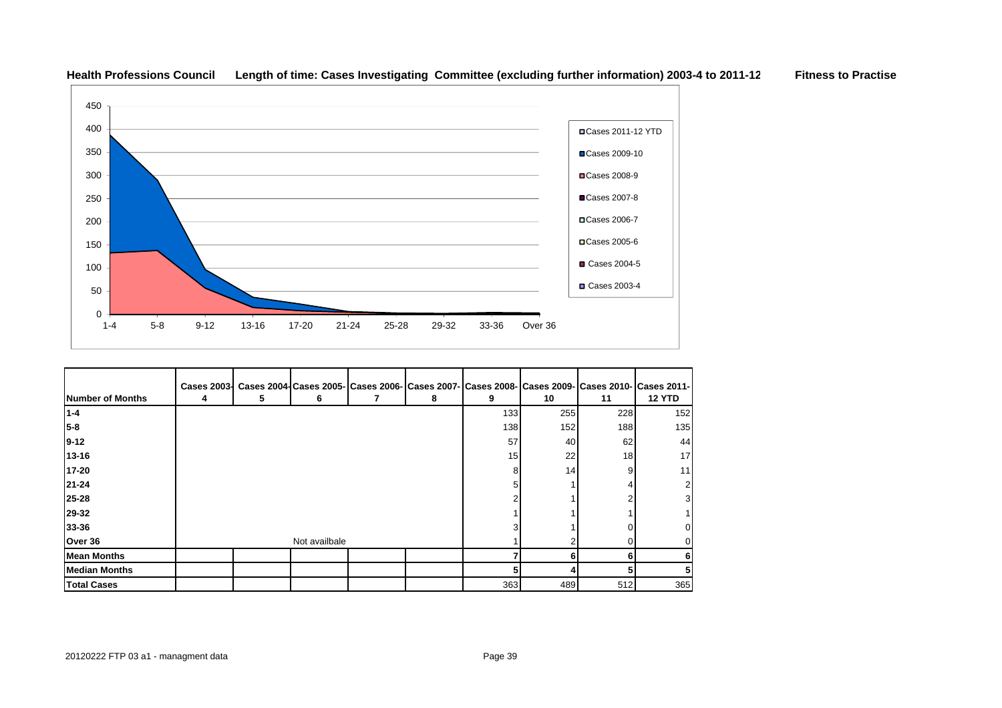

| Number of Months     | 4 | Cases 2003- Cases 2004-Cases 2005- Cases 2006- Cases 2007- Cases 2008- Cases 2009- Cases 2010- Cases 2011-<br>5. | 6             | 8 | 9   | 10  | 11              | <b>12 YTD</b>  |
|----------------------|---|------------------------------------------------------------------------------------------------------------------|---------------|---|-----|-----|-----------------|----------------|
| $1 - 4$              |   |                                                                                                                  |               |   | 133 | 255 | 228             | 152            |
| $5-8$                |   |                                                                                                                  |               |   | 138 | 152 | 188             | 135            |
| $9 - 12$             |   |                                                                                                                  |               |   | 57  | 40  | 62              | 44             |
| 13-16                |   |                                                                                                                  |               |   | 15  | 22  | 18 <sup>l</sup> | 17             |
| 17-20                |   |                                                                                                                  |               |   | 8   | 14  |                 | 11             |
| 21-24                |   |                                                                                                                  |               |   |     |     |                 | $2\vert$       |
| 25-28                |   |                                                                                                                  |               |   |     |     |                 | $\overline{3}$ |
| 29-32                |   |                                                                                                                  |               |   |     |     |                 | 11             |
| 33-36                |   |                                                                                                                  |               |   |     |     |                 | $\overline{0}$ |
| Over 36              |   |                                                                                                                  | Not availbale |   |     |     |                 | $\overline{0}$ |
| <b>Mean Months</b>   |   |                                                                                                                  |               |   |     |     |                 | 61             |
| <b>Median Months</b> |   |                                                                                                                  |               |   |     |     |                 | 51             |
| <b>Total Cases</b>   |   |                                                                                                                  |               |   | 363 | 489 | 512             | 365            |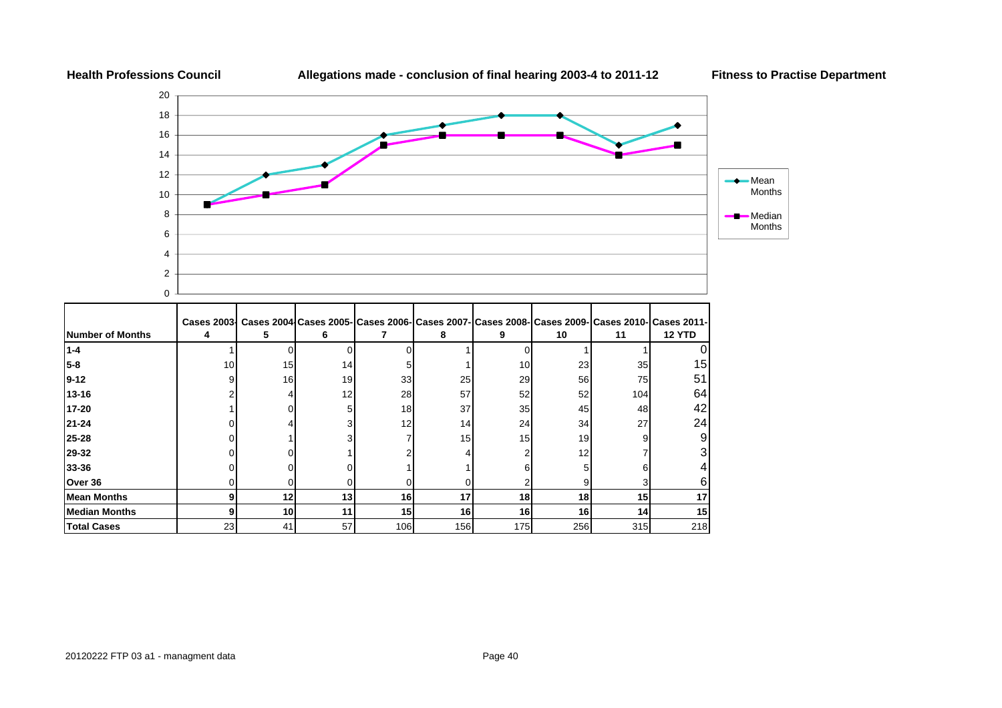

|                         |    |                 |    | Cases 2003 Cases 2004 Cases 2005- Cases 2006- Cases 2007- Cases 2008- Cases 2009- Cases 2010- Cases 2011- |     |                 |     |     |               |
|-------------------------|----|-----------------|----|-----------------------------------------------------------------------------------------------------------|-----|-----------------|-----|-----|---------------|
| <b>Number of Months</b> | 4  | 5               | 6  |                                                                                                           | 8   | 9               | 10  | 11  | <b>12 YTD</b> |
| $1 - 4$                 |    |                 |    |                                                                                                           |     |                 |     |     |               |
| $5-8$                   | 10 | 15 <sub>1</sub> | 14 |                                                                                                           |     | 10 <sup>1</sup> | 23  | 35  | 15            |
| $9 - 12$                |    | 16              | 19 | 33                                                                                                        | 25  | 29              | 56  | 75  | 51            |
| $13 - 16$               |    |                 | 12 | 28                                                                                                        | 57  | 52              | 52  | 104 | 64            |
| $17 - 20$               |    |                 |    | 18                                                                                                        | 37  | 35              | 45  | 48  | 42            |
| $21 - 24$               |    |                 |    | 12                                                                                                        | 14  | 24              | 34  | 27  | 24            |
| 25-28                   |    |                 |    |                                                                                                           | 15  | 151             | 19  |     |               |
| 29-32                   |    |                 |    |                                                                                                           |     |                 | 12  |     |               |
| 33-36                   |    |                 |    |                                                                                                           |     |                 |     |     |               |
| Over 36                 |    |                 |    |                                                                                                           |     |                 |     |     |               |
| <b>Mean Months</b>      |    | 12              | 13 | 16                                                                                                        | 17  | 18              | 18  | 15  |               |
| <b>Median Months</b>    |    | 10              | 11 | 15                                                                                                        | 16  | 16              | 16  | 14  | 15            |
| <b>Total Cases</b>      | 23 | 41              | 57 | 106                                                                                                       | 156 | 175             | 256 | 315 | 218           |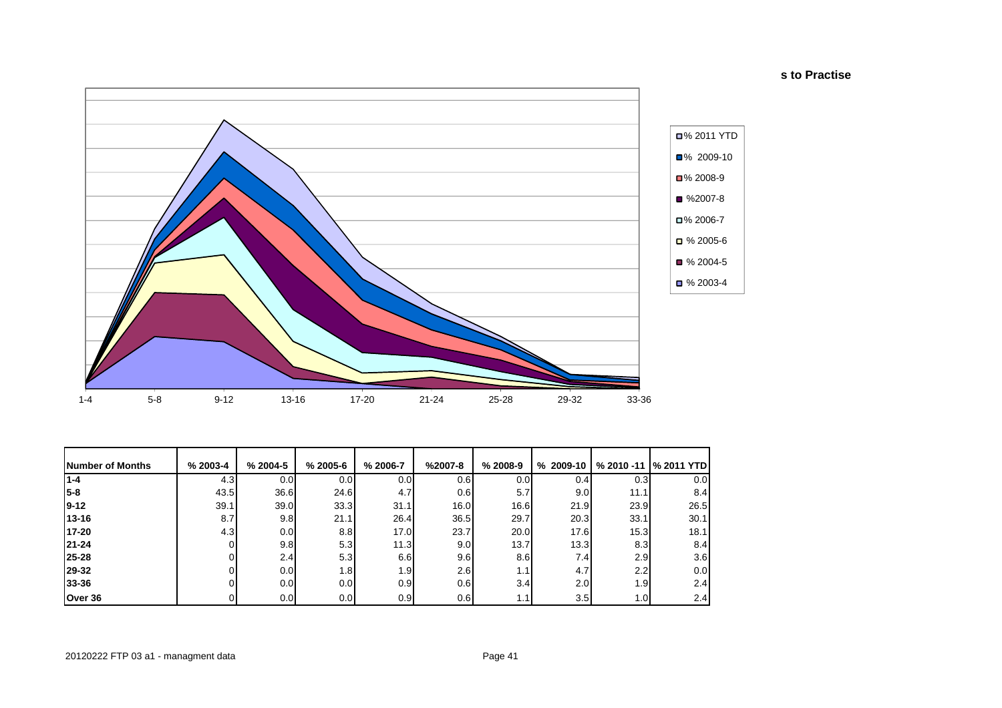



| Number of Months | $% 2003 - 4$ | $% 2004-5$       | $% 2005 - 6$ | % 2006-7         | $%2007-8$ | $% 2008-9$    | $% 2009-10$ |      | % 2010 -11  % 2011 YTD |
|------------------|--------------|------------------|--------------|------------------|-----------|---------------|-------------|------|------------------------|
| $1-4$            | 4.3          | 0.0 <sub>l</sub> | 0.0          | 0.0 <sub>l</sub> | 0.6       | 0.0           | 0.4         | 0.3  | 0.0                    |
| $15-8$           | 43.5         | 36.6             | 24.6         | 4.7              | 0.6       | 5.7           | 9.0         | 11.1 | 8.4                    |
| $9 - 12$         | 39.1         | 39.0             | 33.3         | 31.1             | 16.0      | 16.6          | 21.9        | 23.9 | 26.5                   |
| 13-16            | 8.7          | 9.8              | 21.1         | 26.4             | 36.5      | 29.7          | 20.3        | 33.1 | 30.1                   |
| 17-20            | 4.3          | 0.0              | 8.8          | 17.0             | 23.7      | 20.0          | 17.6        | 15.3 | 18.1                   |
| $21 - 24$        |              | 9.8              | 5.3          | 11.3             | 9.0       | 13.7          | 13.3        | 8.3  | 8.4                    |
| 25-28            |              | 2.4              | 5.3          | 6.6              | 9.6       | 8.6           | 7.4         | 2.9  | 3.6                    |
| 29-32            |              | 0.0              | 1.8          | 1.9              | 2.6       | $1.1^{\circ}$ | 4.7         | 2.2  | 0.0                    |
| 33-36            |              | 0.01             | 0.0          | 0.9              | 0.6       | 3.4           | 2.0         | 1.9  | 2.4                    |
| Over 36          |              | 0.0              | 0.0          | 0.9              | 0.6       | 1.1           | 3.5         | 1.0  | 2.4                    |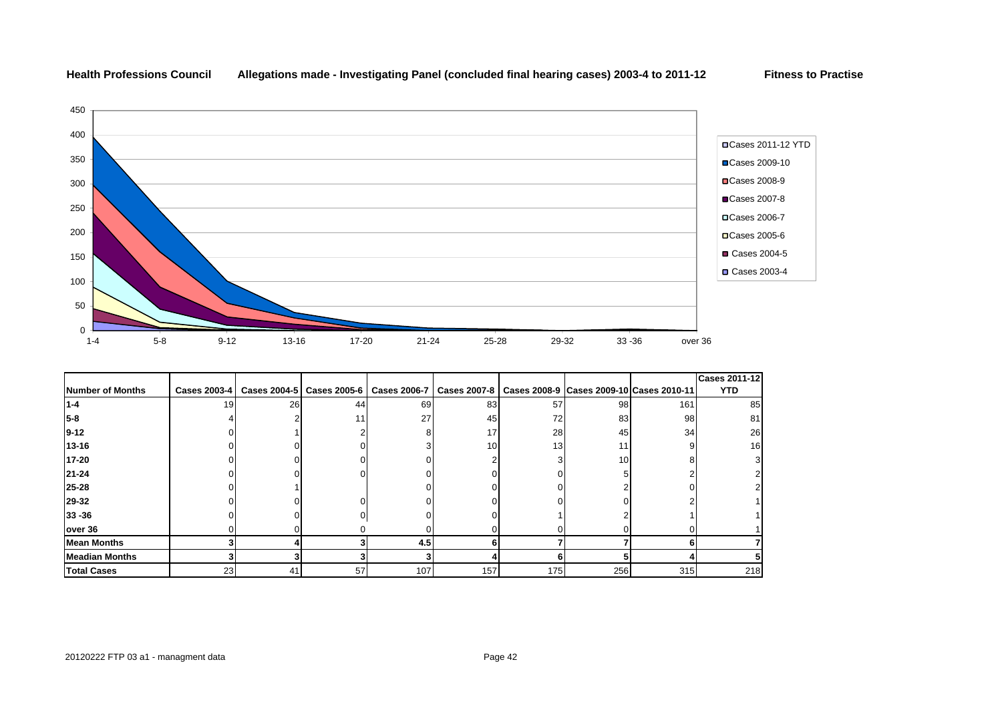



|                       |                     |    |                                                           |     |     |                 |                                          |     | <b>Cases 2011-12</b> |
|-----------------------|---------------------|----|-----------------------------------------------------------|-----|-----|-----------------|------------------------------------------|-----|----------------------|
| Number of Months      | <b>Cases 2003-4</b> |    | Cases 2004-5   Cases 2005-6   Cases 2006-7   Cases 2007-8 |     |     |                 | Cases 2008-9 Cases 2009-10 Cases 2010-11 |     | <b>YTD</b>           |
| $1 - 4$               | 19                  | 26 | 44                                                        | 69  | 83  | 57              | 98                                       | 161 | 85                   |
| $15 - 8$              |                     |    |                                                           | 27  | 45  | 72              | 83                                       | 98  | 81                   |
| $9 - 12$              |                     |    |                                                           |     | 17  | 28              | 45                                       | 34  | 26                   |
| 13-16                 |                     |    |                                                           |     | 10  | 13 <sub>l</sub> |                                          |     | 16                   |
| 17-20                 |                     |    |                                                           |     |     |                 | 10                                       |     |                      |
| 21-24                 |                     |    |                                                           |     |     |                 |                                          |     |                      |
| 25-28                 |                     |    |                                                           |     |     |                 |                                          |     |                      |
| 29-32                 |                     |    |                                                           |     |     |                 |                                          |     |                      |
| $33 - 36$             |                     |    |                                                           |     |     |                 |                                          |     |                      |
| over 36               |                     |    |                                                           |     |     |                 |                                          |     |                      |
| <b>Mean Months</b>    |                     |    |                                                           | 4.5 | 6   |                 |                                          |     |                      |
| <b>Meadian Months</b> |                     |    |                                                           |     |     |                 |                                          |     |                      |
| <b>Total Cases</b>    | 23                  | 41 | 57                                                        | 107 | 157 | 175             | 256                                      | 315 | 218                  |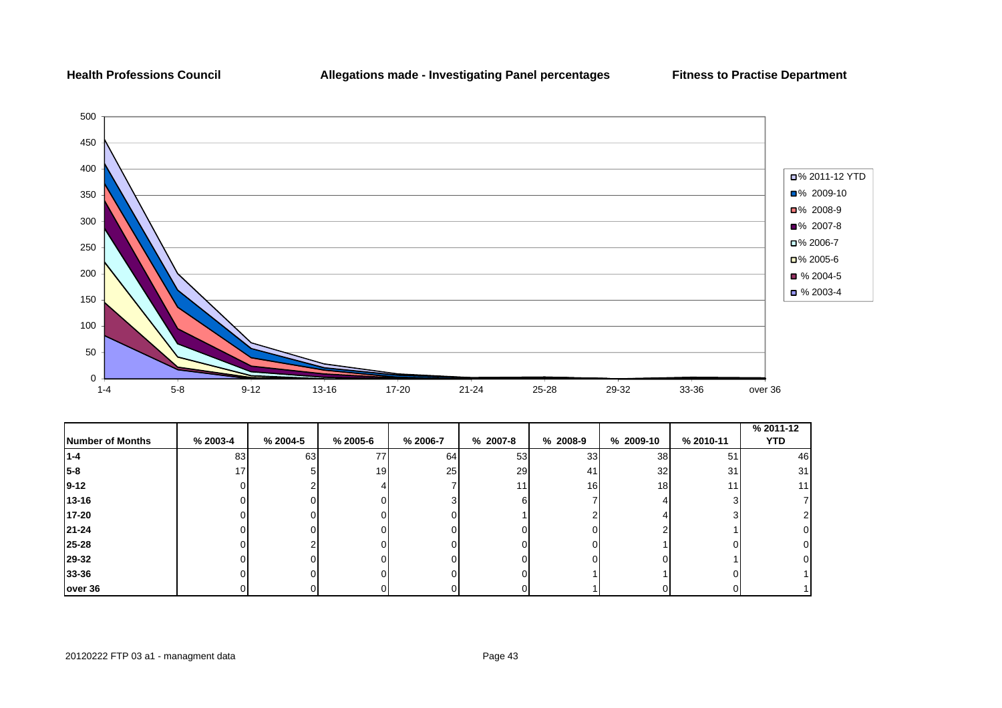**Allegations made - Investigating Panel percentages Fitness to Practise Department**



|                  |          |            |              |                 |          |                 |                 |           | % 2011-12  |
|------------------|----------|------------|--------------|-----------------|----------|-----------------|-----------------|-----------|------------|
| Number of Months | % 2003-4 | $% 2004-5$ | $% 2005 - 6$ | % 2006-7        | % 2007-8 | % 2008-9        | % 2009-10       | % 2010-11 | <b>YTD</b> |
| $1 - 4$          | 83       | 63         | 77           | 64              | 53       | 33              | 38 <sup>1</sup> | 51        | 46         |
| $5 - 8$          | 17       |            | 19           | 25 <sub>l</sub> | 29       | 41              | 32              | 31        | 31         |
| $9 - 12$         |          |            |              |                 |          | 16 <sub>1</sub> | 18              |           | 11         |
| $13 - 16$        | n.       |            | n.           |                 |          |                 |                 |           |            |
| 17-20            | n.       |            | n.           |                 |          |                 |                 |           |            |
| $21 - 24$        |          |            |              |                 |          |                 |                 |           |            |
| 25-28            |          |            | n.           |                 |          |                 |                 |           |            |
| 29-32            |          |            |              |                 |          |                 |                 |           |            |
| 33-36            |          |            |              |                 |          |                 |                 |           |            |
| over 36          |          |            | DІ           |                 |          |                 |                 |           |            |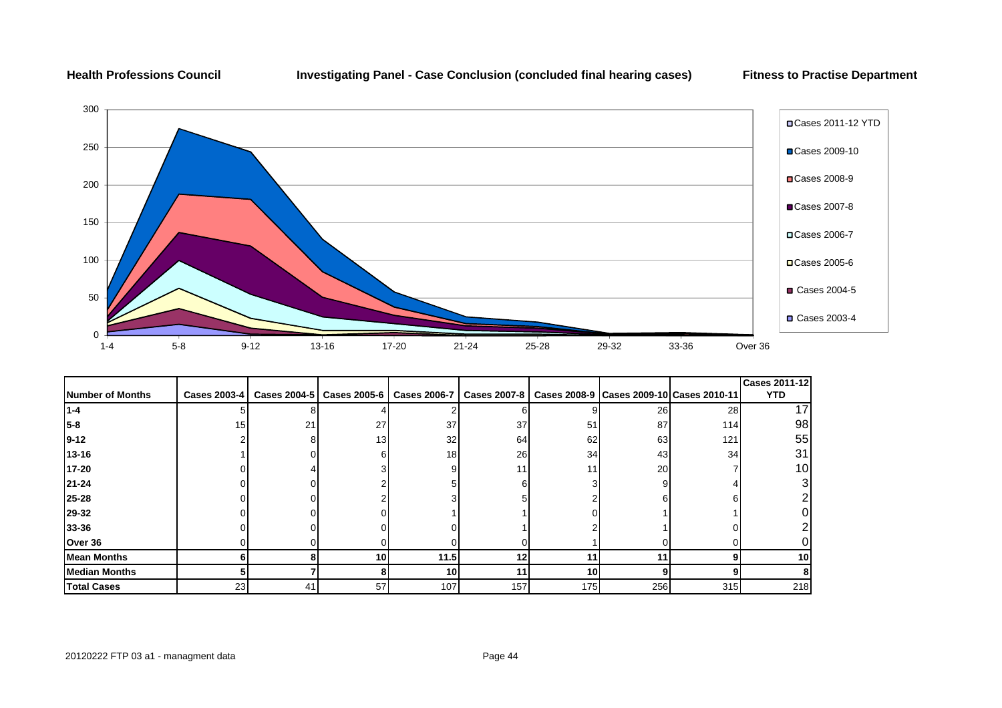# **Investigating Panel - Case Conclusion (concluded final hearing cases) Fitness to Practise Department**



|                      |                     |    |                             |                     |                     |     |                                              |     | <b>Cases 2011-12</b> |
|----------------------|---------------------|----|-----------------------------|---------------------|---------------------|-----|----------------------------------------------|-----|----------------------|
| Number of Months     | <b>Cases 2003-4</b> |    | Cases 2004-5   Cases 2005-6 | <b>Cases 2006-7</b> | <b>Cases 2007-8</b> |     | Cases 2008-9   Cases 2009-10   Cases 2010-11 |     | <b>YTD</b>           |
| 11-4                 |                     | 8  |                             |                     |                     |     | 26                                           | 28  | 17                   |
| 5-8                  | 15 <sub>l</sub>     | 21 | 27                          | 37                  | 37                  | 51  | 87                                           | 114 | 98                   |
| $9 - 12$             |                     |    | 13                          | 32 <sub>l</sub>     | 64                  | 62  | 63                                           | 121 | 55                   |
| 13-16                |                     |    | հ                           | 18 <sup>1</sup>     | 26                  | 34  | 43                                           | 34  | 31                   |
| 17-20                |                     |    |                             | 9                   | 11                  |     | 20                                           |     | 10I                  |
| $21 - 24$            |                     |    |                             |                     |                     |     |                                              |     |                      |
| 25-28                |                     |    |                             |                     |                     |     |                                              |     |                      |
| 29-32                |                     |    |                             |                     |                     |     |                                              |     |                      |
| 33-36                |                     |    |                             |                     |                     |     |                                              |     |                      |
| Over 36              |                     |    |                             |                     |                     |     |                                              |     |                      |
| <b>Mean Months</b>   |                     |    | 10 <sup>1</sup>             | 11.5                | 12                  |     | 11                                           |     | 10                   |
| <b>Median Months</b> |                     |    |                             | 10                  | 11                  | 10  |                                              |     |                      |
| <b>Total Cases</b>   | 23                  | 41 | 57                          | 107                 | 157                 | 175 | 256                                          | 315 | 218                  |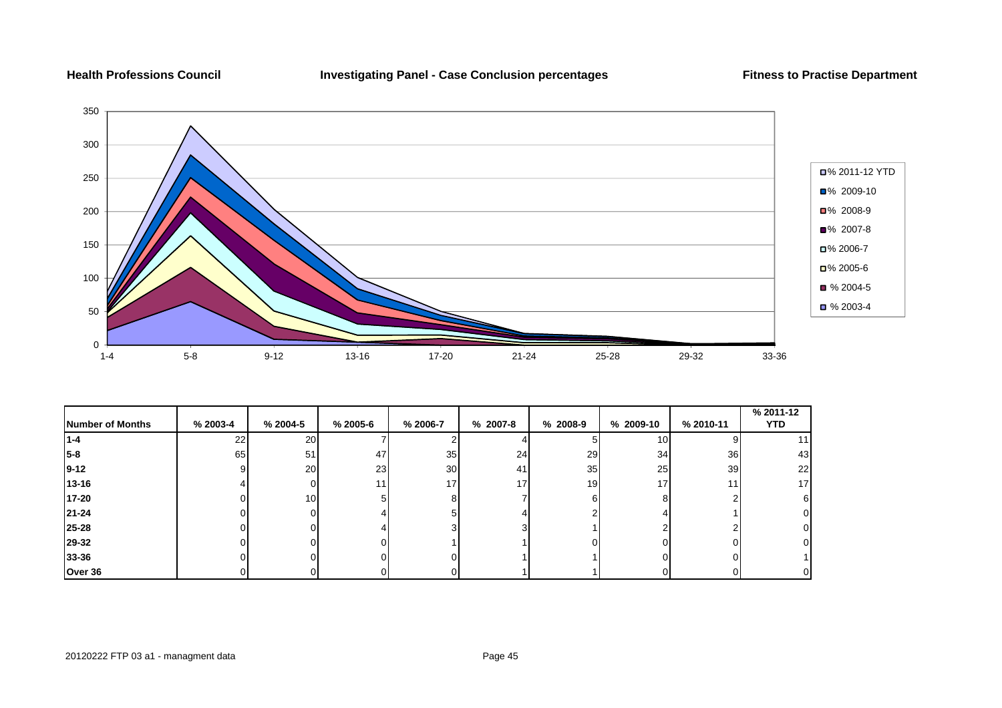**Investigating Panel - Case Conclusion percentages Fitness to Practise Department** 



|                         |          |                 |            |                 |          |                 |                 |           | % 2011-12      |
|-------------------------|----------|-----------------|------------|-----------------|----------|-----------------|-----------------|-----------|----------------|
| <b>Number of Months</b> | % 2003-4 | $% 2004-5$      | $% 2005-6$ | % 2006-7        | % 2007-8 | % 2008-9        | % 2009-10       | % 2010-11 | <b>YTD</b>     |
| $1 - 4$                 | 22       | 20              |            |                 |          |                 | 10 <sup>1</sup> | 9         | 11             |
| $5 - 8$                 | 65       | 51              | 47         | 35              | 24       | 29              | 34              | 36        | 43             |
| $19-12$                 | 9        | 20              | 23         | 30 <sup>1</sup> | 41       | 35 <sub>l</sub> | 25              | 39        | 22             |
| $13 - 16$               |          |                 | 11         | 17 <sub>1</sub> | 17       | 19              | 17 <sub>1</sub> | 11        | 17             |
| 17-20                   |          | 10 <sup>1</sup> | 5          | 8               |          |                 | 8               |           | 61             |
| 21-24                   | $\cap$   |                 |            |                 |          |                 |                 |           | 01             |
| 25-28                   |          |                 |            | っ               | 3        |                 |                 |           | 01             |
| 29-32                   |          |                 | $\Omega$   |                 |          |                 |                 |           | οI             |
| 33-36                   | $\Omega$ |                 | $\Omega$   |                 |          |                 |                 |           |                |
| Over 36                 | 0        |                 | 01         |                 |          |                 |                 |           | $\overline{0}$ |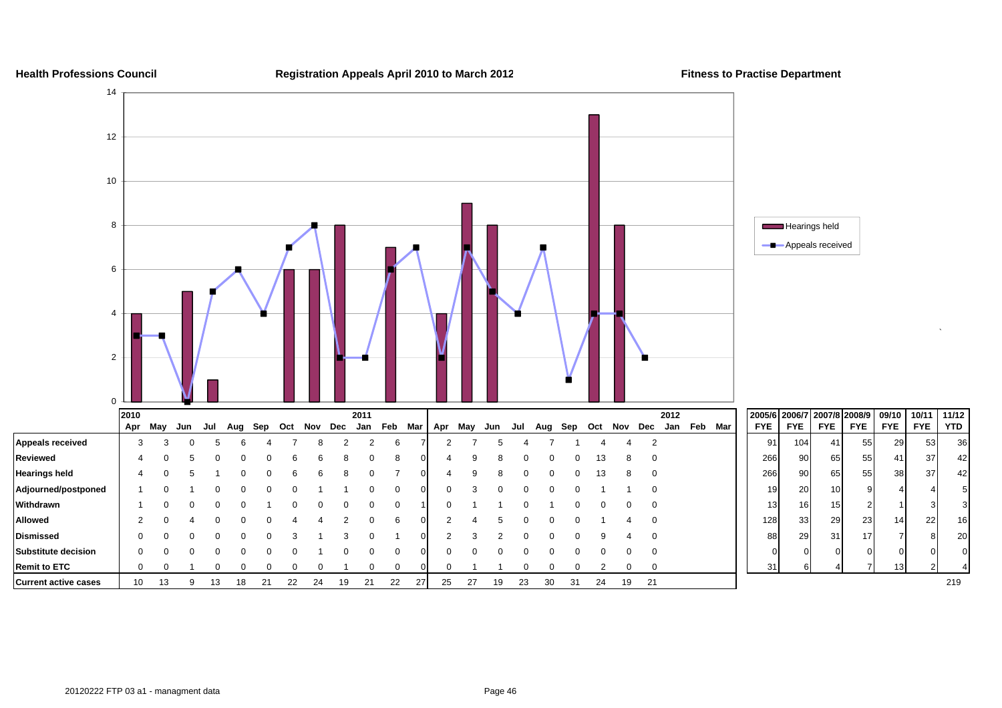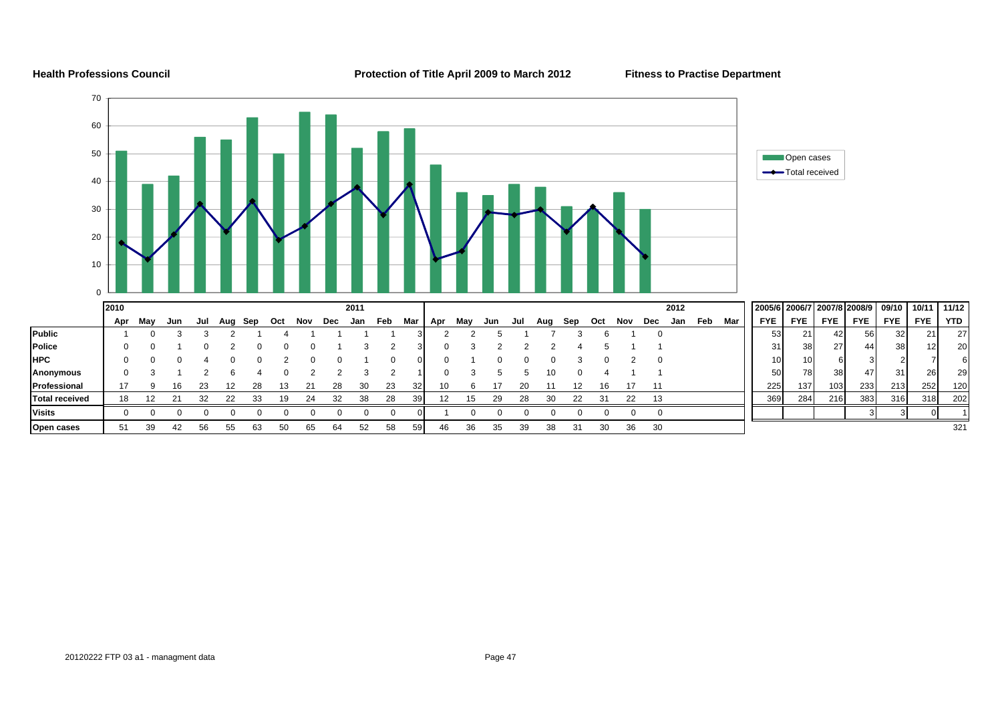Apr May Jun Jul Aug Sep Oct Nov Dec Jan Feb Mar|Apr May Jun Jul Aug Sep Oct Nov Dec Jan Feb Mar||FYE|FYE|FYE|FYE|FYE|FYE|TYE|TYE| **c** | 1 0 3 3 2 1 4 1 1 1 1 3| 2 2 5 1 7 3 6 1 0 || 53| 21| 42| 56| 32| 21| 27 e | 0 0 1 0 2 0 0 0 1 3 2 3| 0 3 2 2 2 4 5 1 1 | -1 | -1 31| -38| -27| -44| -38| -12| -20 0 0 0 4 0 0 2 0 0 1 0 0 0 1 0 0 0 3 0 2 0 10 10 63276 **Anonymous** 0 3 1 2 6 4 0 2 2 3 2 1 0 3 5 5 10 0 4 1 1 50 78 38 47 31 26 29 **Professional** 17 9 16 23 12 28 13 21 28 30 23 32 10 6 17 20 11 12 16 17 11**Total receivedd |** 18 12 21 32 22 33 19 24 32 38 28 39| 12 15 29 28 30 22 31 22 13 **2010 2011 2012**  $\Omega$ 1020 30 40 50 60**COPER CASES** Total received

70

**Public**

**Police**

**Visits**

**HPC**

#### **Protection of Title April 2009 to March 2012 Fitness to Practise Department**